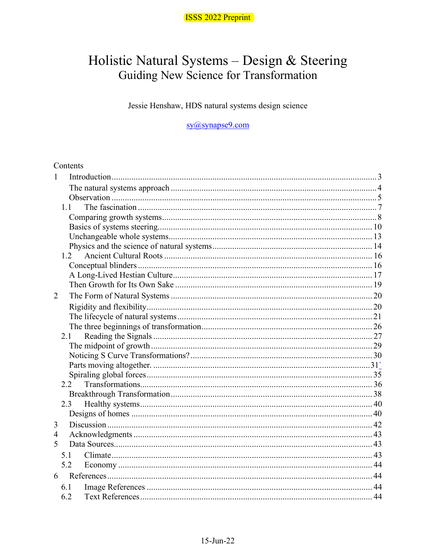

# Holistic Natural Systems - Design & Steering<br>Guiding New Science for Transformation

Jessie Henshaw, HDS natural systems design science

sy@synapse9.com

#### Contents

| $\mathbf{1}$   |     |  |  |
|----------------|-----|--|--|
|                |     |  |  |
|                |     |  |  |
|                | 1.1 |  |  |
|                |     |  |  |
|                |     |  |  |
|                |     |  |  |
|                |     |  |  |
|                | 1.2 |  |  |
|                |     |  |  |
|                |     |  |  |
|                |     |  |  |
| $\overline{2}$ |     |  |  |
|                |     |  |  |
|                |     |  |  |
|                |     |  |  |
|                | 2.1 |  |  |
|                |     |  |  |
|                |     |  |  |
|                |     |  |  |
|                |     |  |  |
|                | 2.2 |  |  |
|                |     |  |  |
|                | 2.3 |  |  |
|                |     |  |  |
| 3              |     |  |  |
| $\overline{4}$ |     |  |  |
| 5              |     |  |  |
|                | 5.1 |  |  |
|                | 5.2 |  |  |
| 6              |     |  |  |
|                | 6.1 |  |  |
|                | 6.2 |  |  |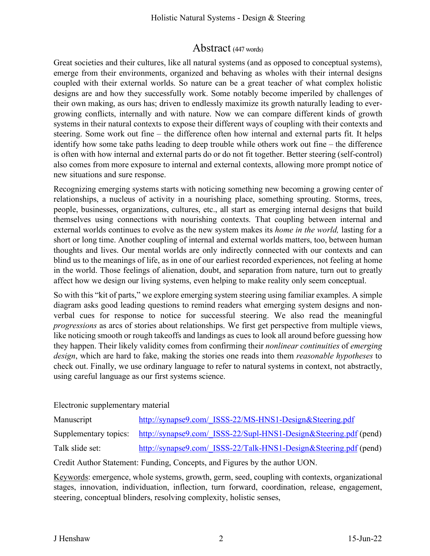# Abstract (447 words)

Great societies and their cultures, like all natural systems (and as opposed to conceptual systems), emerge from their environments, organized and behaving as wholes with their internal designs coupled with their external worlds. So nature can be a great teacher of what complex holistic designs are and how they successfully work. Some notably become imperiled by challenges of their own making, as ours has; driven to endlessly maximize its growth naturally leading to evergrowing conflicts, internally and with nature. Now we can compare different kinds of growth systems in their natural contexts to expose their different ways of coupling with their contexts and steering. Some work out fine – the difference often how internal and external parts fit. It helps identify how some take paths leading to deep trouble while others work out fine – the difference is often with how internal and external parts do or do not fit together. Better steering (self-control) also comes from more exposure to internal and external contexts, allowing more prompt notice of new situations and sure response.

Recognizing emerging systems starts with noticing something new becoming a growing center of relationships, a nucleus of activity in a nourishing place, something sprouting. Storms, trees, people, businesses, organizations, cultures, etc., all start as emerging internal designs that build themselves using connections with nourishing contexts. That coupling between internal and external worlds continues to evolve as the new system makes its *home in the world,* lasting for a short or long time. Another coupling of internal and external worlds matters, too, between human thoughts and lives. Our mental worlds are only indirectly connected with our contexts and can blind us to the meanings of life, as in one of our earliest recorded experiences, not feeling at home in the world. Those feelings of alienation, doubt, and separation from nature, turn out to greatly affect how we design our living systems, even helping to make reality only seem conceptual.

So with this "kit of parts," we explore emerging system steering using familiar examples. A simple diagram asks good leading questions to remind readers what emerging system designs and nonverbal cues for response to notice for successful steering. We also read the meaningful *progressions* as arcs of stories about relationships. We first get perspective from multiple views, like noticing smooth or rough takeoffs and landings as cues to look all around before guessing how they happen. Their likely validity comes from confirming their *nonlinear continuities* of *emerging design*, which are hard to fake, making the stories one reads into them *reasonable hypotheses* to check out. Finally, we use ordinary language to refer to natural systems in context, not abstractly, using careful language as our first systems science.

Electronic supplementary material

| Manuscript      | http://synapse9.com/ ISSS-22/MS-HNS1-Design&Steering.pdf                                |
|-----------------|-----------------------------------------------------------------------------------------|
|                 | Supplementary topics: http://synapse9.com/ ISSS-22/Supl-HNS1-Design&Steering.pdf (pend) |
| Talk slide set: | http://synapse9.com/ ISSS-22/Talk-HNS1-Design&Steering.pdf (pend)                       |

Credit Author Statement: Funding, Concepts, and Figures by the author UON.

Keywords: emergence, whole systems, growth, germ, seed, coupling with contexts, organizational stages, innovation, individuation, inflection, turn forward, coordination, release, engagement, steering, conceptual blinders, resolving complexity, holistic senses,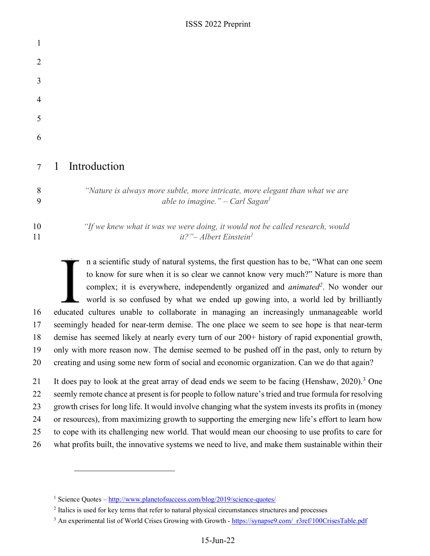ISSS 2022 Preprint

| 1              |   |                                                                                                                               |
|----------------|---|-------------------------------------------------------------------------------------------------------------------------------|
| $\overline{2}$ |   |                                                                                                                               |
| 3              |   |                                                                                                                               |
| 4              |   |                                                                                                                               |
| 5              |   |                                                                                                                               |
| 6              |   |                                                                                                                               |
| 7              | 1 | Introduction                                                                                                                  |
| 8<br>9         |   | "Nature is always more subtle, more intricate, more elegant than what we are<br>able to imagine." $-$ Carl Sagan <sup>1</sup> |
| 10<br>11       |   | "If we knew what it was we were doing, it would not be called research, would<br>it?"- Albert Einstein <sup>1</sup>           |

n a scientific study of natural systems, the first question has to be, "What can one seem to know for sure when it is so clear we cannot know very much?" Nature is more than **1** complex; it is everywhere, independently organized and *animated*<sup>2</sup>. No wonder our world is so confused by what we ended up gowing into, a world led by brilliantly 16 educated cultures unable to collaborate in managing an increasingly unmanageable world 17 seemingly headed for near-term demise. The one place we seem to see hope is that near-term 18 demise has seemed likely at nearly every turn of our 200+ history of rapid exponential growth, 19 only with more reason now. The demise seemed to be pushed off in the past, only to return by 20 creating and using some new form of social and economic organization. Can we do that again?

21 It does pay to look at the great array of dead ends we seem to be facing (Henshaw, 2020).<sup>3</sup> One 22 seemly remote chance at present is for people to follow nature's tried and true formula for resolving 23 growth crises for long life. It would involve changing what the system invests its profits in (money 24 or resources), from maximizing growth to supporting the emerging new life's effort to learn how 25 to cope with its challenging new world. That would mean our choosing to use profits to care for 26 what profits built, the innovative systems we need to live, and make them sustainable within their

<sup>&</sup>lt;sup>1</sup> Science Quotes – http://www.planetofsuccess.com/blog/2019/science-quotes/

<sup>&</sup>lt;sup>2</sup> Italics is used for key terms that refer to natural physical circumstances structures and processes

<sup>&</sup>lt;sup>3</sup> An experimental list of World Crises Growing with Growth - https://synapse9.com/ r3ref/100CrisesTable.pdf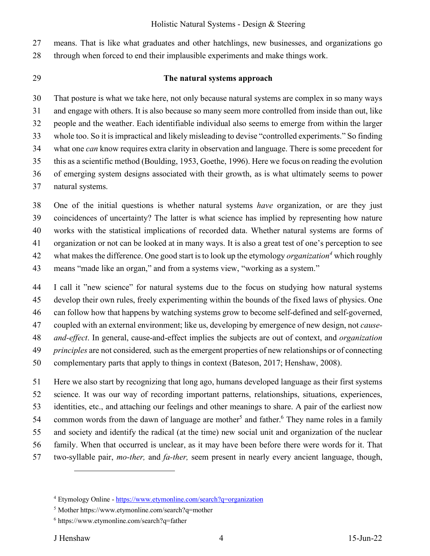27 means. That is like what graduates and other hatchlings, new businesses, and organizations go 28 through when forced to end their implausible experiments and make things work.

#### 29 **The natural systems approach**

30 That posture is what we take here, not only because natural systems are complex in so many ways 31 and engage with others. It is also because so many seem more controlled from inside than out, like 32 people and the weather. Each identifiable individual also seems to emerge from within the larger 33 whole too. So it is impractical and likely misleading to devise "controlled experiments." So finding 34 what one *can* know requires extra clarity in observation and language. There is some precedent for 35 this as a scientific method (Boulding, 1953, Goethe, 1996). Here we focus on reading the evolution 36 of emerging system designs associated with their growth, as is what ultimately seems to power 37 natural systems.

38 One of the initial questions is whether natural systems *have* organization, or are they just 39 coincidences of uncertainty? The latter is what science has implied by representing how nature 40 works with the statistical implications of recorded data. Whether natural systems are forms of 41 organization or not can be looked at in many ways. It is also a great test of one's perception to see what makes the difference. One good start is to look up the etymology *organization<sup>4</sup>* 42 which roughly 43 means "made like an organ," and from a systems view, "working as a system."

44 I call it "new science" for natural systems due to the focus on studying how natural systems 45 develop their own rules, freely experimenting within the bounds of the fixed laws of physics. One 46 can follow how that happens by watching systems grow to become self-defined and self-governed, 47 coupled with an external environment; like us, developing by emergence of new design, not *cause-*48 *and-effect*. In general, cause-and-effect implies the subjects are out of context, and *organization*  49 *principles* are not considered*,* such as the emergent properties of new relationships or of connecting 50 complementary parts that apply to things in context (Bateson, 2017; Henshaw, 2008).

51 Here we also start by recognizing that long ago, humans developed language as their first systems 52 science. It was our way of recording important patterns, relationships, situations, experiences, 53 identities, etc., and attaching our feelings and other meanings to share. A pair of the earliest now 54 common words from the dawn of language are mother<sup>5</sup> and father.<sup>6</sup> They name roles in a family 55 and society and identify the radical (at the time) new social unit and organization of the nuclear 56 family. When that occurred is unclear, as it may have been before there were words for it. That 57 two-syllable pair, *mo-ther,* and *fa-ther,* seem present in nearly every ancient language, though,

<sup>&</sup>lt;sup>4</sup> Etymology Online - https://www.etymonline.com/search?q=organization

<sup>5</sup> Mother https://www.etymonline.com/search?q=mother

<sup>6</sup> https://www.etymonline.com/search?q=father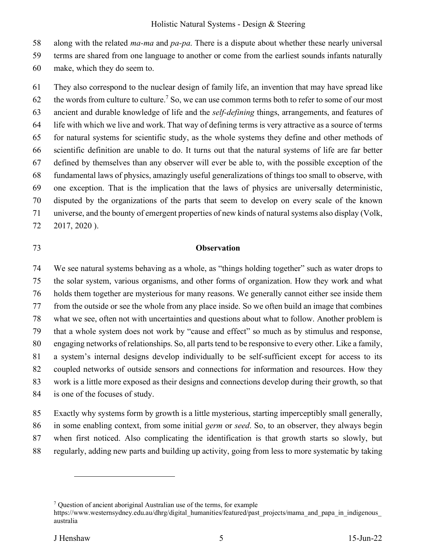58 along with the related *ma-ma* and *pa-pa*. There is a dispute about whether these nearly universal

59 terms are shared from one language to another or come from the earliest sounds infants naturally

60 make, which they do seem to.

61 They also correspond to the nuclear design of family life, an invention that may have spread like 62 the words from culture to culture.<sup>7</sup> So, we can use common terms both to refer to some of our most 63 ancient and durable knowledge of life and the *self-defining* things, arrangements, and features of 64 life with which we live and work. That way of defining terms is very attractive as a source of terms 65 for natural systems for scientific study, as the whole systems they define and other methods of 66 scientific definition are unable to do. It turns out that the natural systems of life are far better 67 defined by themselves than any observer will ever be able to, with the possible exception of the 68 fundamental laws of physics, amazingly useful generalizations of things too small to observe, with 69 one exception. That is the implication that the laws of physics are universally deterministic, 70 disputed by the organizations of the parts that seem to develop on every scale of the known 71 universe, and the bounty of emergent properties of new kinds of natural systems also display (Volk, 72 2017, 2020 ).

#### 73 **Observation**

74 We see natural systems behaving as a whole, as "things holding together" such as water drops to 75 the solar system, various organisms, and other forms of organization. How they work and what 76 holds them together are mysterious for many reasons. We generally cannot either see inside them 77 from the outside or see the whole from any place inside. So we often build an image that combines 78 what we see, often not with uncertainties and questions about what to follow. Another problem is 79 that a whole system does not work by "cause and effect" so much as by stimulus and response, 80 engaging networks of relationships. So, all parts tend to be responsive to every other. Like a family, 81 a system's internal designs develop individually to be self-sufficient except for access to its 82 coupled networks of outside sensors and connections for information and resources. How they 83 work is a little more exposed as their designs and connections develop during their growth, so that 84 is one of the focuses of study.

85 Exactly why systems form by growth is a little mysterious, starting imperceptibly small generally,

86 in some enabling context, from some initial *germ* or *seed*. So, to an observer, they always begin

87 when first noticed. Also complicating the identification is that growth starts so slowly, but

88 regularly, adding new parts and building up activity, going from less to more systematic by taking

<sup>&</sup>lt;sup>7</sup> Question of ancient aboriginal Australian use of the terms, for example

https://www.westernsydney.edu.au/dhrg/digital\_humanities/featured/past\_projects/mama\_and\_papa\_in\_indigenous\_ australia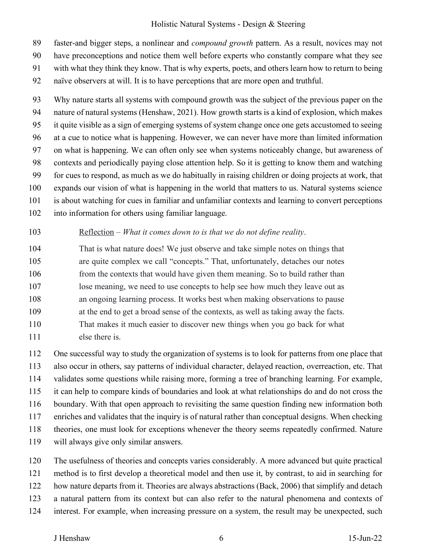89 faster-and bigger steps, a nonlinear and *compound growth* pattern. As a result, novices may not

90 have preconceptions and notice them well before experts who constantly compare what they see

91 with what they think they know. That is why experts, poets, and others learn how to return to being

92 naïve observers at will. It is to have perceptions that are more open and truthful.

93 Why nature starts all systems with compound growth was the subject of the previous paper on the 94 nature of natural systems (Henshaw, 2021). How growth starts is a kind of explosion, which makes 95 it quite visible as a sign of emerging systems of system change once one gets accustomed to seeing 96 at a cue to notice what is happening. However, we can never have more than limited information 97 on what is happening. We can often only see when systems noticeably change, but awareness of 98 contexts and periodically paying close attention help. So it is getting to know them and watching 99 for cues to respond, as much as we do habitually in raising children or doing projects at work, that 100 expands our vision of what is happening in the world that matters to us. Natural systems science 101 is about watching for cues in familiar and unfamiliar contexts and learning to convert perceptions 102 into information for others using familiar language.

#### 103 Reflection – *What it comes down to is that we do not define reality*.

104 That is what nature does! We just observe and take simple notes on things that 105 are quite complex we call "concepts." That, unfortunately, detaches our notes 106 from the contexts that would have given them meaning. So to build rather than 107 lose meaning, we need to use concepts to help see how much they leave out as 108 an ongoing learning process. It works best when making observations to pause 109 at the end to get a broad sense of the contexts, as well as taking away the facts. 110 That makes it much easier to discover new things when you go back for what 111 else there is.

112 One successful way to study the organization of systems is to look for patterns from one place that 113 also occur in others, say patterns of individual character, delayed reaction, overreaction, etc. That 114 validates some questions while raising more, forming a tree of branching learning. For example, 115 it can help to compare kinds of boundaries and look at what relationships do and do not cross the 116 boundary. With that open approach to revisiting the same question finding new information both 117 enriches and validates that the inquiry is of natural rather than conceptual designs. When checking 118 theories, one must look for exceptions whenever the theory seems repeatedly confirmed. Nature 119 will always give only similar answers.

120 The usefulness of theories and concepts varies considerably. A more advanced but quite practical 121 method is to first develop a theoretical model and then use it, by contrast, to aid in searching for 122 how nature departs from it. Theories are always abstractions (Back, 2006) that simplify and detach 123 a natural pattern from its context but can also refer to the natural phenomena and contexts of

124 interest. For example, when increasing pressure on a system, the result may be unexpected, such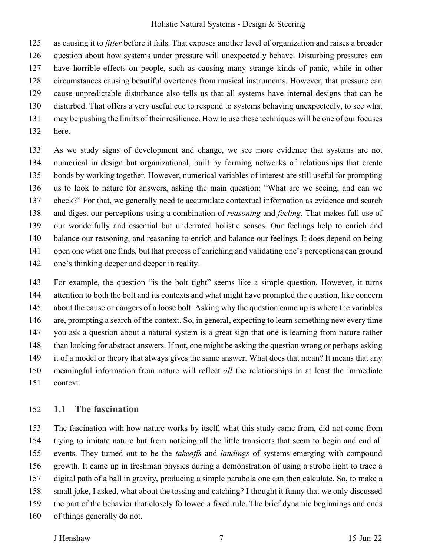125 as causing it to *jitter* before it fails. That exposes another level of organization and raises a broader 126 question about how systems under pressure will unexpectedly behave. Disturbing pressures can 127 have horrible effects on people, such as causing many strange kinds of panic, while in other 128 circumstances causing beautiful overtones from musical instruments. However, that pressure can 129 cause unpredictable disturbance also tells us that all systems have internal designs that can be 130 disturbed. That offers a very useful cue to respond to systems behaving unexpectedly, to see what 131 may be pushing the limits of their resilience. How to use these techniques will be one of our focuses 132 here.

133 As we study signs of development and change, we see more evidence that systems are not 134 numerical in design but organizational, built by forming networks of relationships that create 135 bonds by working together. However, numerical variables of interest are still useful for prompting 136 us to look to nature for answers, asking the main question: "What are we seeing, and can we 137 check?" For that, we generally need to accumulate contextual information as evidence and search 138 and digest our perceptions using a combination of *reasoning* and *feeling.* That makes full use of 139 our wonderfully and essential but underrated holistic senses. Our feelings help to enrich and 140 balance our reasoning, and reasoning to enrich and balance our feelings. It does depend on being 141 open one what one finds, but that process of enriching and validating one's perceptions can ground 142 one's thinking deeper and deeper in reality.

143 For example, the question "is the bolt tight" seems like a simple question. However, it turns 144 attention to both the bolt and its contexts and what might have prompted the question, like concern 145 about the cause or dangers of a loose bolt. Asking why the question came up is where the variables 146 are, prompting a search of the context. So, in general, expecting to learn something new every time 147 you ask a question about a natural system is a great sign that one is learning from nature rather 148 than looking for abstract answers. If not, one might be asking the question wrong or perhaps asking 149 it of a model or theory that always gives the same answer. What does that mean? It means that any 150 meaningful information from nature will reflect *all* the relationships in at least the immediate 151 context.

### 152 **1.1 The fascination**

153 The fascination with how nature works by itself, what this study came from, did not come from 154 trying to imitate nature but from noticing all the little transients that seem to begin and end all 155 events. They turned out to be the *takeoffs* and *landings* of systems emerging with compound 156 growth. It came up in freshman physics during a demonstration of using a strobe light to trace a 157 digital path of a ball in gravity, producing a simple parabola one can then calculate. So, to make a 158 small joke, I asked, what about the tossing and catching? I thought it funny that we only discussed 159 the part of the behavior that closely followed a fixed rule. The brief dynamic beginnings and ends 160 of things generally do not.

#### J Henshaw 7 15-Jun-22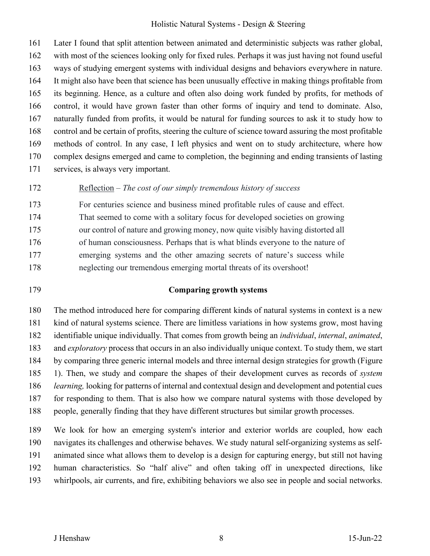161 Later I found that split attention between animated and deterministic subjects was rather global, 162 with most of the sciences looking only for fixed rules. Perhaps it was just having not found useful 163 ways of studying emergent systems with individual designs and behaviors everywhere in nature. 164 It might also have been that science has been unusually effective in making things profitable from 165 its beginning. Hence, as a culture and often also doing work funded by profits, for methods of 166 control, it would have grown faster than other forms of inquiry and tend to dominate. Also, 167 naturally funded from profits, it would be natural for funding sources to ask it to study how to 168 control and be certain of profits, steering the culture of science toward assuring the most profitable 169 methods of control. In any case, I left physics and went on to study architecture, where how 170 complex designs emerged and came to completion, the beginning and ending transients of lasting 171 services, is always very important.

172 Reflection – *The cost of our simply tremendous history of success*

173 For centuries science and business mined profitable rules of cause and effect. 174 That seemed to come with a solitary focus for developed societies on growing

175 our control of nature and growing money, now quite visibly having distorted all

176 of human consciousness. Perhaps that is what blinds everyone to the nature of

177 emerging systems and the other amazing secrets of nature's success while

178 neglecting our tremendous emerging mortal threats of its overshoot!

#### 179 **Comparing growth systems**

180 The method introduced here for comparing different kinds of natural systems in context is a new 181 kind of natural systems science. There are limitless variations in how systems grow, most having 182 identifiable unique individually. That comes from growth being an *individual*, *internal*, *animated*, 183 and *exploratory* process that occurs in an also individually unique context. To study them, we start 184 by comparing three generic internal models and three internal design strategies for growth (Figure 185 1). Then, we study and compare the shapes of their development curves as records of *system*  186 *learning,* looking for patterns of internal and contextual design and development and potential cues 187 for responding to them. That is also how we compare natural systems with those developed by 188 people, generally finding that they have different structures but similar growth processes.

189 We look for how an emerging system's interior and exterior worlds are coupled, how each 190 navigates its challenges and otherwise behaves. We study natural self-organizing systems as self-191 animated since what allows them to develop is a design for capturing energy, but still not having 192 human characteristics. So "half alive" and often taking off in unexpected directions, like 193 whirlpools, air currents, and fire, exhibiting behaviors we also see in people and social networks.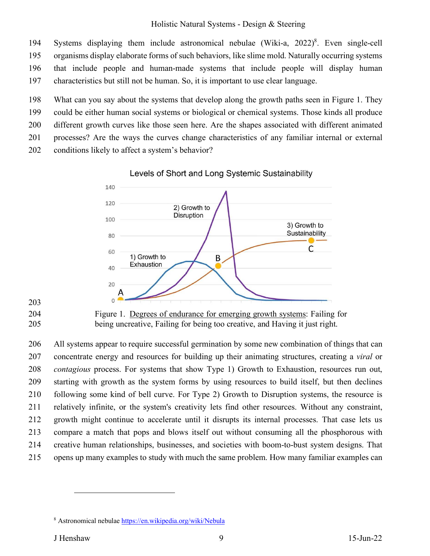194 Systems displaying them include astronomical nebulae (Wiki-a, 2022)<sup>8</sup>. Even single-cell 195 organisms display elaborate forms of such behaviors, like slime mold. Naturally occurring systems 196 that include people and human-made systems that include people will display human 197 characteristics but still not be human. So, it is important to use clear language.

198 What can you say about the systems that develop along the growth paths seen in Figure 1. They

199 could be either human social systems or biological or chemical systems. Those kinds all produce

200 different growth curves like those seen here. Are the shapes associated with different animated

201 processes? Are the ways the curves change characteristics of any familiar internal or external

202 conditions likely to affect a system's behavior?





203



204 Figure 1. Degrees of endurance for emerging growth systems: Failing for 205 being uncreative, Failing for being too creative, and Having it just right.

206 All systems appear to require successful germination by some new combination of things that can 207 concentrate energy and resources for building up their animating structures, creating a *viral* or 208 *contagious* process. For systems that show Type 1) Growth to Exhaustion, resources run out, 209 starting with growth as the system forms by using resources to build itself, but then declines 210 following some kind of bell curve. For Type 2) Growth to Disruption systems, the resource is 211 relatively infinite, or the system's creativity lets find other resources. Without any constraint, 212 growth might continue to accelerate until it disrupts its internal processes. That case lets us 213 compare a match that pops and blows itself out without consuming all the phosphorous with 214 creative human relationships, businesses, and societies with boom-to-bust system designs. That 215 opens up many examples to study with much the same problem. How many familiar examples can

<sup>&</sup>lt;sup>8</sup> Astronomical nebulae **https://en.wikipedia.org/wiki/Nebula**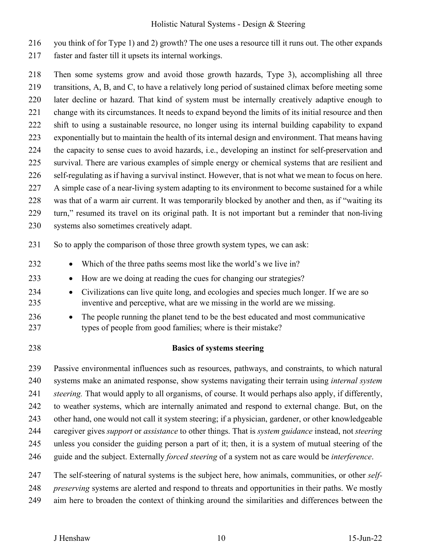216 you think of for Type 1) and 2) growth? The one uses a resource till it runs out. The other expands

217 faster and faster till it upsets its internal workings.

218 Then some systems grow and avoid those growth hazards, Type 3), accomplishing all three 219 transitions, A, B, and C, to have a relatively long period of sustained climax before meeting some 220 later decline or hazard. That kind of system must be internally creatively adaptive enough to 221 change with its circumstances. It needs to expand beyond the limits of its initial resource and then 222 shift to using a sustainable resource, no longer using its internal building capability to expand 223 exponentially but to maintain the health of its internal design and environment. That means having 224 the capacity to sense cues to avoid hazards, i.e., developing an instinct for self-preservation and 225 survival. There are various examples of simple energy or chemical systems that are resilient and 226 self-regulating as if having a survival instinct. However, that is not what we mean to focus on here. 227 A simple case of a near-living system adapting to its environment to become sustained for a while 228 was that of a warm air current. It was temporarily blocked by another and then, as if "waiting its 229 turn," resumed its travel on its original path. It is not important but a reminder that non-living 230 systems also sometimes creatively adapt.

231 So to apply the comparison of those three growth system types, we can ask:

- 232 Which of the three paths seems most like the world's we live in?
- 233 How are we doing at reading the cues for changing our strategies?
- 234 Civilizations can live quite long, and ecologies and species much longer. If we are so 235 inventive and perceptive, what are we missing in the world are we missing.
- 236 The people running the planet tend to be the best educated and most communicative 237 types of people from good families; where is their mistake?
- 

238 **Basics of systems steering** 

239 Passive environmental influences such as resources, pathways, and constraints, to which natural 240 systems make an animated response, show systems navigating their terrain using *internal system* 241 *steering.* That would apply to all organisms, of course. It would perhaps also apply, if differently, 242 to weather systems, which are internally animated and respond to external change. But, on the 243 other hand, one would not call it system steering; if a physician, gardener, or other knowledgeable 244 caregiver gives *support* or *assistance* to other things. That is *system guidance* instead, not *steering* 245 unless you consider the guiding person a part of it; then, it is a system of mutual steering of the 246 guide and the subject. Externally *forced steering* of a system not as care would be *interference*. 247 The self-steering of natural systems is the subject here, how animals, communities, or other *self-*

248 *preserving* systems are alerted and respond to threats and opportunities in their paths. We mostly

249 aim here to broaden the context of thinking around the similarities and differences between the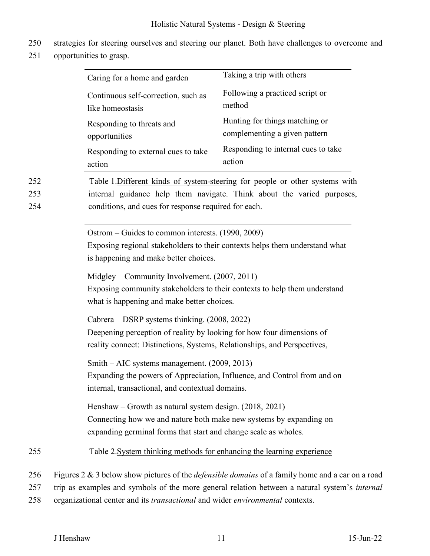- 250 strategies for steering ourselves and steering our planet. Both have challenges to overcome and
- 251 opportunities to grasp.

|                   | Caring for a home and garden                                                                                                                                                                                   | Taking a trip with others                                                   |
|-------------------|----------------------------------------------------------------------------------------------------------------------------------------------------------------------------------------------------------------|-----------------------------------------------------------------------------|
|                   | Continuous self-correction, such as<br>like homeostasis                                                                                                                                                        | Following a practiced script or<br>method                                   |
|                   | Responding to threats and<br>opportunities                                                                                                                                                                     | Hunting for things matching or<br>complementing a given pattern             |
|                   | Responding to external cues to take<br>action                                                                                                                                                                  | Responding to internal cues to take<br>action                               |
| 252<br>253<br>254 | Table 1. Different kinds of system-steering for people or other systems with<br>internal guidance help them navigate. Think about the varied purposes,<br>conditions, and cues for response required for each. |                                                                             |
|                   | Ostrom – Guides to common interests. (1990, 2009)<br>is happening and make better choices.                                                                                                                     | Exposing regional stakeholders to their contexts helps them understand what |
|                   | Midgley – Community Involvement. (2007, 2011)<br>what is happening and make better choices.                                                                                                                    | Exposing community stakeholders to their contexts to help them understand   |
|                   | Cabrera – DSRP systems thinking. (2008, 2022)<br>Deepening perception of reality by looking for how four dimensions of<br>reality connect: Distinctions, Systems, Relationships, and Perspectives,             |                                                                             |
|                   | Smith – AIC systems management. (2009, 2013)<br>internal, transactional, and contextual domains.                                                                                                               | Expanding the powers of Appreciation, Influence, and Control from and on    |
|                   | Henshaw – Growth as natural system design. $(2018, 2021)$<br>Connecting how we and nature both make new systems by expanding on<br>expanding germinal forms that start and change scale as wholes.             |                                                                             |
| 255               | Table 2. System thinking methods for enhancing the learning experience                                                                                                                                         |                                                                             |

256 Figures 2 & 3 below show pictures of the *defensible domains* of a family home and a car on a road

- 257 trip as examples and symbols of the more general relation between a natural system's *internal*
- 258 organizational center and its *transactional* and wider *environmental* contexts.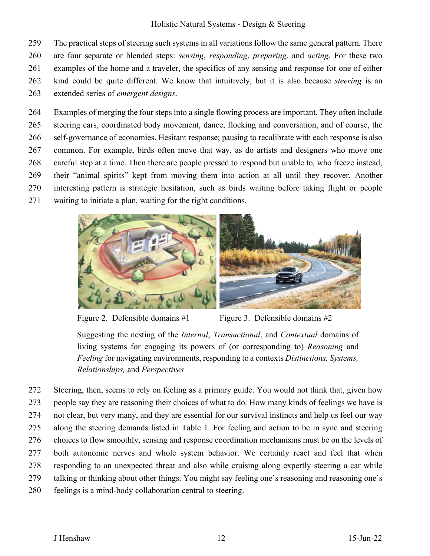259 The practical steps of steering such systems in all variations follow the same general pattern. There 260 are four separate or blended steps: *sensing*, *responding*, *preparing*, and *acting*. For these two 261 examples of the home and a traveler, the specifics of any sensing and response for one of either 262 kind could be quite different. We know that intuitively, but it is also because *steering* is an 263 extended series of *emergent designs*.

264 Examples of merging the four steps into a single flowing process are important. They often include 265 steering cars, coordinated body movement, dance, flocking and conversation, and of course, the 266 self-governance of economies. Hesitant response; pausing to recalibrate with each response is also 267 common. For example, birds often move that way, as do artists and designers who move one 268 careful step at a time. Then there are people pressed to respond but unable to, who freeze instead, 269 their "animal spirits" kept from moving them into action at all until they recover. Another 270 interesting pattern is strategic hesitation, such as birds waiting before taking flight or people 271 waiting to initiate a plan, waiting for the right conditions.



Figure 2. Defensible domains  $#1$  Figure 3. Defensible domains  $#2$ 

Suggesting the nesting of the *Internal*, *Transactional*, and *Contextual* domains of living systems for engaging its powers of (or corresponding to) *Reasoning* and *Feeling* for navigating environments, responding to a contexts *Distinctions, Systems, Relationships,* and *Perspectives*

272 Steering, then, seems to rely on feeling as a primary guide. You would not think that, given how 273 people say they are reasoning their choices of what to do. How many kinds of feelings we have is 274 not clear, but very many, and they are essential for our survival instincts and help us feel our way 275 along the steering demands listed in Table 1. For feeling and action to be in sync and steering 276 choices to flow smoothly, sensing and response coordination mechanisms must be on the levels of 277 both autonomic nerves and whole system behavior. We certainly react and feel that when 278 responding to an unexpected threat and also while cruising along expertly steering a car while 279 talking or thinking about other things. You might say feeling one's reasoning and reasoning one's 280 feelings is a mind-body collaboration central to steering.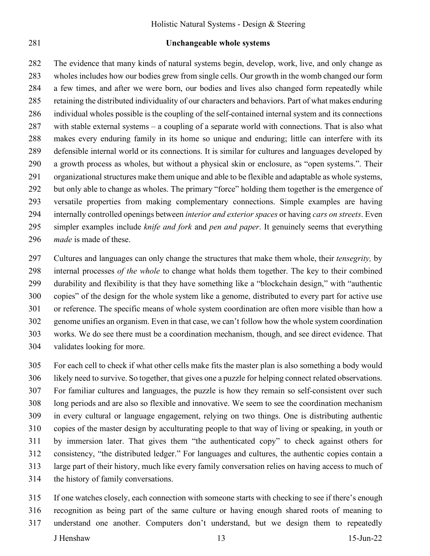#### 281 **Unchangeable whole systems**

282 The evidence that many kinds of natural systems begin, develop, work, live, and only change as 283 wholes includes how our bodies grew from single cells. Our growth in the womb changed our form 284 a few times, and after we were born, our bodies and lives also changed form repeatedly while 285 retaining the distributed individuality of our characters and behaviors. Part of what makes enduring 286 individual wholes possible is the coupling of the self-contained internal system and its connections 287 with stable external systems – a coupling of a separate world with connections. That is also what 288 makes every enduring family in its home so unique and enduring; little can interfere with its 289 defensible internal world or its connections. It is similar for cultures and languages developed by 290 a growth process as wholes, but without a physical skin or enclosure, as "open systems.". Their 291 organizational structures make them unique and able to be flexible and adaptable as whole systems, 292 but only able to change as wholes. The primary "force" holding them together is the emergence of 293 versatile properties from making complementary connections. Simple examples are having 294 internally controlled openings between *interior and exterior spaces* or having *cars on streets*. Even 295 simpler examples include *knife and fork* and *pen and paper*. It genuinely seems that everything 296 *made* is made of these.

297 Cultures and languages can only change the structures that make them whole, their *tensegrity,* by 298 internal processes *of the whole* to change what holds them together. The key to their combined 299 durability and flexibility is that they have something like a "blockchain design," with "authentic 300 copies" of the design for the whole system like a genome, distributed to every part for active use 301 or reference. The specific means of whole system coordination are often more visible than how a 302 genome unifies an organism. Even in that case, we can't follow how the whole system coordination 303 works. We do see there must be a coordination mechanism, though, and see direct evidence. That 304 validates looking for more.

305 For each cell to check if what other cells make fits the master plan is also something a body would 306 likely need to survive. So together, that gives one a puzzle for helping connect related observations. 307 For familiar cultures and languages, the puzzle is how they remain so self-consistent over such 308 long periods and are also so flexible and innovative. We seem to see the coordination mechanism 309 in every cultural or language engagement, relying on two things. One is distributing authentic 310 copies of the master design by acculturating people to that way of living or speaking, in youth or 311 by immersion later. That gives them "the authenticated copy" to check against others for 312 consistency, "the distributed ledger." For languages and cultures, the authentic copies contain a 313 large part of their history, much like every family conversation relies on having access to much of 314 the history of family conversations.

315 If one watches closely, each connection with someone starts with checking to see if there's enough

- 316 recognition as being part of the same culture or having enough shared roots of meaning to
- J Henshaw 13 15-Jun-22 317 understand one another. Computers don't understand, but we design them to repeatedly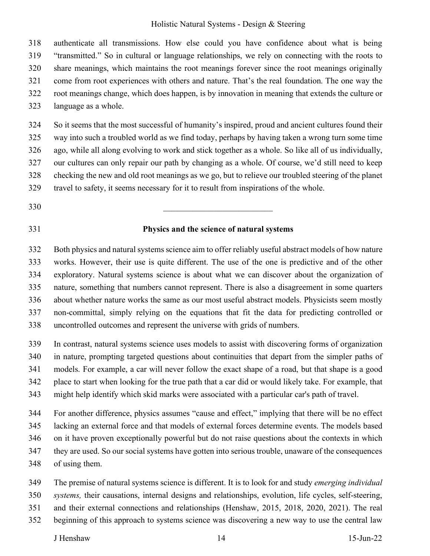318 authenticate all transmissions. How else could you have confidence about what is being 319 "transmitted." So in cultural or language relationships, we rely on connecting with the roots to 320 share meanings, which maintains the root meanings forever since the root meanings originally 321 come from root experiences with others and nature. That's the real foundation. The one way the 322 root meanings change, which does happen, is by innovation in meaning that extends the culture or 323 language as a whole.

324 So it seems that the most successful of humanity's inspired, proud and ancient cultures found their 325 way into such a troubled world as we find today, perhaps by having taken a wrong turn some time 326 ago, while all along evolving to work and stick together as a whole. So like all of us individually, 327 our cultures can only repair our path by changing as a whole. Of course, we'd still need to keep 328 checking the new and old root meanings as we go, but to relieve our troubled steering of the planet 329 travel to safety, it seems necessary for it to result from inspirations of the whole.

- $330$
- 

#### 331 **Physics and the science of natural systems**

332 Both physics and natural systems science aim to offer reliably useful abstract models of how nature 333 works. However, their use is quite different. The use of the one is predictive and of the other 334 exploratory. Natural systems science is about what we can discover about the organization of 335 nature, something that numbers cannot represent. There is also a disagreement in some quarters 336 about whether nature works the same as our most useful abstract models. Physicists seem mostly 337 non-committal, simply relying on the equations that fit the data for predicting controlled or 338 uncontrolled outcomes and represent the universe with grids of numbers.

339 In contrast, natural systems science uses models to assist with discovering forms of organization 340 in nature, prompting targeted questions about continuities that depart from the simpler paths of 341 models. For example, a car will never follow the exact shape of a road, but that shape is a good 342 place to start when looking for the true path that a car did or would likely take. For example, that 343 might help identify which skid marks were associated with a particular car's path of travel.

344 For another difference, physics assumes "cause and effect," implying that there will be no effect 345 lacking an external force and that models of external forces determine events. The models based 346 on it have proven exceptionally powerful but do not raise questions about the contexts in which 347 they are used. So our social systems have gotten into serious trouble, unaware of the consequences

- 348 of using them.
- 349 The premise of natural systems science is different. It is to look for and study *emerging individual*
- 350 *systems,* their causations, internal designs and relationships, evolution, life cycles, self-steering,
- 351 and their external connections and relationships (Henshaw, 2015, 2018, 2020, 2021). The real
- 352 beginning of this approach to systems science was discovering a new way to use the central law

J Henshaw 14 15-Jun-22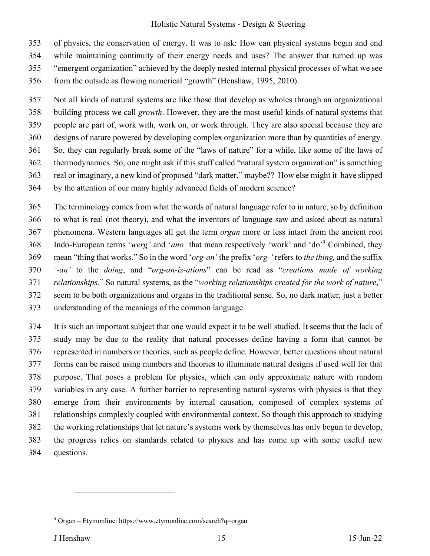353 of physics, the conservation of energy. It was to ask: How can physical systems begin and end 354 while maintaining continuity of their energy needs and uses? The answer that turned up was

- 355 "emergent organization" achieved by the deeply nested internal physical processes of what we see
- 356 from the outside as flowing numerical "growth" (Henshaw, 1995, 2010).

357 Not all kinds of natural systems are like those that develop as wholes through an organizational 358 building process we call *growth*. However, they are the most useful kinds of natural systems that 359 people are part of, work with, work on, or work through. They are also special because they are 360 designs of nature powered by developing complex organization more than by quantities of energy. 361 So, they can regularly break some of the "laws of nature" for a while, like some of the laws of 362 thermodynamics. So, one might ask if this stuff called "natural system organization" is something 363 real or imaginary, a new kind of proposed "dark matter," maybe?? How else might it have slipped 364 by the attention of our many highly advanced fields of modern science?

365 The terminology comes from what the words of natural language refer to in nature, so by definition 366 to what is real (not theory), and what the inventors of language saw and asked about as natural 367 phenomena. Western languages all get the term *organ* more or less intact from the ancient root 368 Indo-European terms 'werg' and 'ano' that mean respectively 'work' and 'do'<sup>9</sup> Combined, they 369 mean "thing that works." So in the word '*org-an'* the prefix '*org-'* refers to *the thing,* and the suffix 370 *'-an'* to the *doing*, and "*org-an-iz-ations*" can be read as "*creations made of working*  371 *relationships.*" So natural systems, as the "*working relationships created for the work of nature*," 372 seem to be both organizations and organs in the traditional sense. So, no dark matter, just a better 373 understanding of the meanings of the common language.

374 It is such an important subject that one would expect it to be well studied. It seems that the lack of 375 study may be due to the reality that natural processes define having a form that cannot be 376 represented in numbers or theories, such as people define. However, better questions about natural 377 forms can be raised using numbers and theories to illuminate natural designs if used well for that 378 purpose. That poses a problem for physics, which can only approximate nature with random 379 variables in any case. A further barrier to representing natural systems with physics is that they 380 emerge from their environments by internal causation, composed of complex systems of 381 relationships complexly coupled with environmental context. So though this approach to studying 382 the working relationships that let nature's systems work by themselves has only begun to develop, 383 the progress relies on standards related to physics and has come up with some useful new 384 questions.

<sup>9</sup> Organ – Etymonline: https://www.etymonline.com/search?q=organ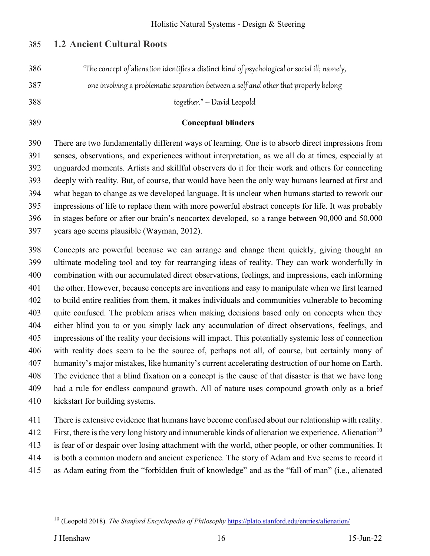## 385 **1.2 Ancient Cultural Roots**

| "The concept of alienation identifies a distinct kind of psychological or social ill; namely,<br>386 |  |
|------------------------------------------------------------------------------------------------------|--|
|------------------------------------------------------------------------------------------------------|--|

387 one involving a problematic separation between a self and other that properly belong

388 together." – David Leopold

#### 389 **Conceptual blinders**

390 There are two fundamentally different ways of learning. One is to absorb direct impressions from 391 senses, observations, and experiences without interpretation, as we all do at times, especially at 392 unguarded moments. Artists and skillful observers do it for their work and others for connecting 393 deeply with reality. But, of course, that would have been the only way humans learned at first and 394 what began to change as we developed language. It is unclear when humans started to rework our 395 impressions of life to replace them with more powerful abstract concepts for life. It was probably 396 in stages before or after our brain's neocortex developed, so a range between 90,000 and 50,000 397 years ago seems plausible (Wayman, 2012).

398 Concepts are powerful because we can arrange and change them quickly, giving thought an 399 ultimate modeling tool and toy for rearranging ideas of reality. They can work wonderfully in 400 combination with our accumulated direct observations, feelings, and impressions, each informing 401 the other. However, because concepts are inventions and easy to manipulate when we first learned 402 to build entire realities from them, it makes individuals and communities vulnerable to becoming 403 quite confused. The problem arises when making decisions based only on concepts when they 404 either blind you to or you simply lack any accumulation of direct observations, feelings, and 405 impressions of the reality your decisions will impact. This potentially systemic loss of connection 406 with reality does seem to be the source of, perhaps not all, of course, but certainly many of 407 humanity's major mistakes, like humanity's current accelerating destruction of our home on Earth. 408 The evidence that a blind fixation on a concept is the cause of that disaster is that we have long 409 had a rule for endless compound growth. All of nature uses compound growth only as a brief 410 kickstart for building systems.

411 There is extensive evidence that humans have become confused about our relationship with reality.

First, there is the very long history and innumerable kinds of alienation we experience. Alienation<sup>10</sup>

413 is fear of or despair over losing attachment with the world, other people, or other communities. It

- 414 is both a common modern and ancient experience. The story of Adam and Eve seems to record it
- 415 as Adam eating from the "forbidden fruit of knowledge" and as the "fall of man" (i.e., alienated

<sup>&</sup>lt;sup>10</sup> (Leopold 2018). *The Stanford Encyclopedia of Philosophy* https://plato.stanford.edu/entries/alienation/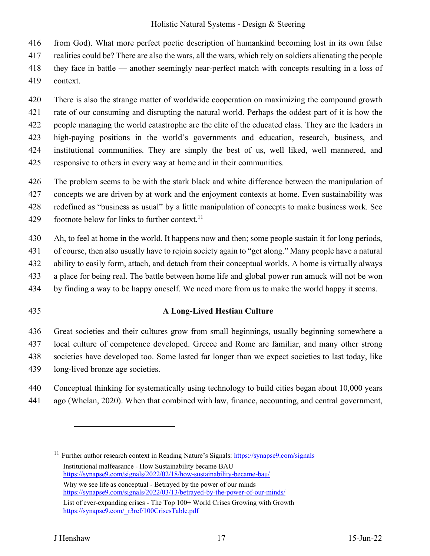416 from God). What more perfect poetic description of humankind becoming lost in its own false

417 realities could be? There are also the wars, all the wars, which rely on soldiers alienating the people

418 they face in battle — another seemingly near-perfect match with concepts resulting in a loss of

419 context.

420 There is also the strange matter of worldwide cooperation on maximizing the compound growth

421 rate of our consuming and disrupting the natural world. Perhaps the oddest part of it is how the

422 people managing the world catastrophe are the elite of the educated class. They are the leaders in

423 high-paying positions in the world's governments and education, research, business, and

424 institutional communities. They are simply the best of us, well liked, well mannered, and

425 responsive to others in every way at home and in their communities.

426 The problem seems to be with the stark black and white difference between the manipulation of

427 concepts we are driven by at work and the enjoyment contexts at home. Even sustainability was

428 redefined as "business as usual" by a little manipulation of concepts to make business work. See

429 footnote below for links to further context.<sup>11</sup>

430 Ah, to feel at home in the world. It happens now and then; some people sustain it for long periods,

431 of course, then also usually have to rejoin society again to "get along." Many people have a natural

432 ability to easily form, attach, and detach from their conceptual worlds. A home is virtually always

433 a place for being real. The battle between home life and global power run amuck will not be won

434 by finding a way to be happy oneself. We need more from us to make the world happy it seems.

# 435 **A Long-Lived Hestian Culture**

436 Great societies and their cultures grow from small beginnings, usually beginning somewhere a 437 local culture of competence developed. Greece and Rome are familiar, and many other strong 438 societies have developed too. Some lasted far longer than we expect societies to last today, like 439 long-lived bronze age societies.

440 Conceptual thinking for systematically using technology to build cities began about 10,000 years 441 ago (Whelan, 2020). When that combined with law, finance, accounting, and central government,

<sup>11</sup> Further author research context in Reading Nature's Signals: https://synapse9.com/signals Institutional malfeasance - How Sustainability became BAU https://synapse9.com/signals/2022/02/18/how-sustainability-became-bau/ Why we see life as conceptual - Betrayed by the power of our minds https://synapse9.com/signals/2022/03/13/betrayed-by-the-power-of-our-minds/ List of ever-expanding crises - The Top 100+ World Crises Growing with Growth https://synapse9.com/\_r3ref/100CrisesTable.pdf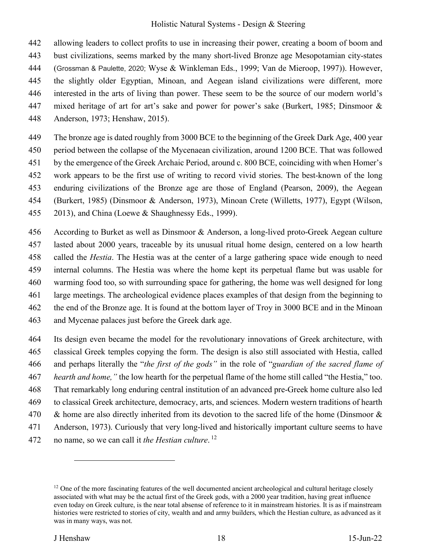442 allowing leaders to collect profits to use in increasing their power, creating a boom of boom and 443 bust civilizations, seems marked by the many short-lived Bronze age Mesopotamian city-states 444 (Grossman & Paulette, 2020; Wyse & Winkleman Eds., 1999; Van de Mieroop, 1997)). However, 445 the slightly older Egyptian, Minoan, and Aegean island civilizations were different, more 446 interested in the arts of living than power. These seem to be the source of our modern world's 447 mixed heritage of art for art's sake and power for power's sake (Burkert, 1985; Dinsmoor & 448 Anderson, 1973; Henshaw, 2015).

449 The bronze age is dated roughly from 3000 BCE to the beginning of the Greek Dark Age, 400 year 450 period between the collapse of the Mycenaean civilization, around 1200 BCE. That was followed 451 by the emergence of the Greek Archaic Period, around c. 800 BCE, coinciding with when Homer's 452 work appears to be the first use of writing to record vivid stories. The best-known of the long 453 enduring civilizations of the Bronze age are those of England (Pearson, 2009), the Aegean 454 (Burkert, 1985) (Dinsmoor & Anderson, 1973), Minoan Crete (Willetts, 1977), Egypt (Wilson, 455 2013), and China (Loewe & Shaughnessy Eds., 1999).

- 456 According to Burket as well as Dinsmoor & Anderson, a long-lived proto-Greek Aegean culture 457 lasted about 2000 years, traceable by its unusual ritual home design, centered on a low hearth 458 called the *Hestia*. The Hestia was at the center of a large gathering space wide enough to need 459 internal columns. The Hestia was where the home kept its perpetual flame but was usable for 460 warming food too, so with surrounding space for gathering, the home was well designed for long 461 large meetings. The archeological evidence places examples of that design from the beginning to 462 the end of the Bronze age. It is found at the bottom layer of Troy in 3000 BCE and in the Minoan 463 and Mycenae palaces just before the Greek dark age.
- 464 Its design even became the model for the revolutionary innovations of Greek architecture, with 465 classical Greek temples copying the form. The design is also still associated with Hestia, called 466 and perhaps literally the "*the first of the gods"* in the role of "*guardian of the sacred flame of*  467 *hearth and home,"* the low hearth for the perpetual flame of the home still called "the Hestia," too. 468 That remarkably long enduring central institution of an advanced pre-Greek home culture also led 469 to classical Greek architecture, democracy, arts, and sciences. Modern western traditions of hearth 470 & home are also directly inherited from its devotion to the sacred life of the home (Dinsmoor & 471 Anderson, 1973). Curiously that very long-lived and historically important culture seems to have
- no name, so we can call it *the Hestian culture*. <sup>12</sup> 472

 $12$  One of the more fascinating features of the well documented ancient archeological and cultural heritage closely associated with what may be the actual first of the Greek gods, with a 2000 year tradition, having great influence even today on Greek culture, is the near total absense of reference to it in mainstream histories. It is as if mainstream histories were restricted to stories of city, wealth and and army builders, which the Hestian culture, as advanced as it was in many ways, was not.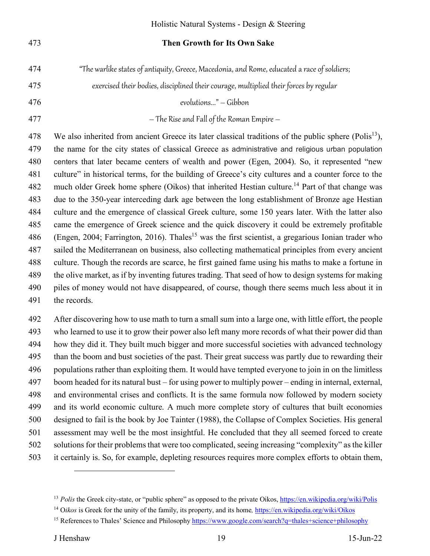#### 473 **Then Growth for Its Own Sake**

- 474 "The warlike states of antiquity, Greece, Macedonia, and Rome, educated a race of soldiers;
- 475 exercised their bodies, disciplined their courage, multiplied their forces by regular

476 evolutions..." – Gibbon

477 – The Rise and Fall of the Roman Empire –

478 We also inherited from ancient Greece its later classical traditions of the public sphere (Polis<sup>13</sup>), 479 the name for the city states of classical Greece as administrative and religious urban population 480 centers that later became centers of wealth and power (Egen, 2004). So, it represented "new 481 culture" in historical terms, for the building of Greece's city cultures and a counter force to the 482 much older Greek home sphere (Oikos) that inherited Hestian culture.<sup>14</sup> Part of that change was 483 due to the 350-year interceding dark age between the long establishment of Bronze age Hestian 484 culture and the emergence of classical Greek culture, some 150 years later. With the latter also 485 came the emergence of Greek science and the quick discovery it could be extremely profitable 486 (Engen, 2004; Farrington, 2016). Thales<sup>15</sup> was the first scientist, a gregarious Ionian trader who 487 sailed the Mediterranean on business, also collecting mathematical principles from every ancient 488 culture. Though the records are scarce, he first gained fame using his maths to make a fortune in 489 the olive market, as if by inventing futures trading. That seed of how to design systems for making 490 piles of money would not have disappeared, of course, though there seems much less about it in 491 the records.

492 After discovering how to use math to turn a small sum into a large one, with little effort, the people 493 who learned to use it to grow their power also left many more records of what their power did than 494 how they did it. They built much bigger and more successful societies with advanced technology 495 than the boom and bust societies of the past. Their great success was partly due to rewarding their 496 populations rather than exploiting them. It would have tempted everyone to join in on the limitless 497 boom headed for its natural bust – for using power to multiply power – ending in internal, external, 498 and environmental crises and conflicts. It is the same formula now followed by modern society 499 and its world economic culture. A much more complete story of cultures that built economies 500 designed to fail is the book by Joe Tainter (1988), the Collapse of Complex Societies. His general 501 assessment may well be the most insightful. He concluded that they all seemed forced to create 502 solutions for their problems that were too complicated, seeing increasing "complexity" as the killer 503 it certainly is. So, for example, depleting resources requires more complex efforts to obtain them,

<sup>&</sup>lt;sup>13</sup> *Polis* the Greek city-state, or "public sphere" as opposed to the private Oikos, https://en.wikipedia.org/wiki/Polis

<sup>&</sup>lt;sup>14</sup> Oikos is Greek for the unity of the family, its property, and its home, https://en.wikipedia.org/wiki/Oikos

<sup>15</sup> References to Thales' Science and Philosophy https://www.google.com/search?q=thales+science+philosophy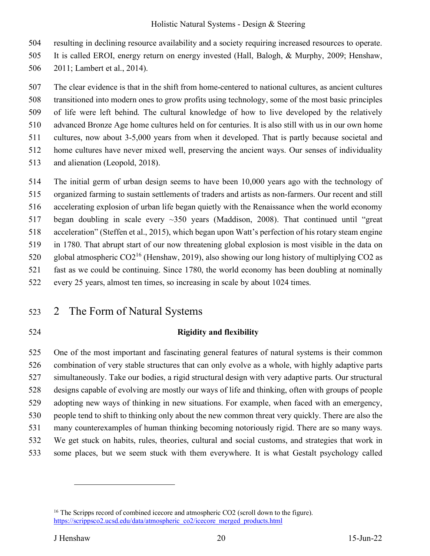504 resulting in declining resource availability and a society requiring increased resources to operate.

505 It is called EROI, energy return on energy invested (Hall, Balogh, & Murphy, 2009; Henshaw,

506 2011; Lambert et al., 2014).

507 The clear evidence is that in the shift from home-centered to national cultures, as ancient cultures 508 transitioned into modern ones to grow profits using technology, some of the most basic principles 509 of life were left behind. The cultural knowledge of how to live developed by the relatively 510 advanced Bronze Age home cultures held on for centuries. It is also still with us in our own home 511 cultures, now about 3-5,000 years from when it developed. That is partly because societal and 512 home cultures have never mixed well, preserving the ancient ways. Our senses of individuality 513 and alienation (Leopold, 2018).

514 The initial germ of urban design seems to have been 10,000 years ago with the technology of 515 organized farming to sustain settlements of traders and artists as non-farmers. Our recent and still 516 accelerating explosion of urban life began quietly with the Renaissance when the world economy 517 began doubling in scale every ~350 years (Maddison, 2008). That continued until "great 518 acceleration" (Steffen et al., 2015), which began upon Watt's perfection of his rotary steam engine 519 in 1780. That abrupt start of our now threatening global explosion is most visible in the data on 520 global atmospheric  $CO2^{16}$  (Henshaw, 2019), also showing our long history of multiplying CO2 as 521 fast as we could be continuing. Since 1780, the world economy has been doubling at nominally 522 every 25 years, almost ten times, so increasing in scale by about 1024 times.

- 523 2 The Form of Natural Systems
- 

# 524 **Rigidity and flexibility**

525 One of the most important and fascinating general features of natural systems is their common 526 combination of very stable structures that can only evolve as a whole, with highly adaptive parts 527 simultaneously. Take our bodies, a rigid structural design with very adaptive parts. Our structural 528 designs capable of evolving are mostly our ways of life and thinking, often with groups of people 529 adopting new ways of thinking in new situations. For example, when faced with an emergency, 530 people tend to shift to thinking only about the new common threat very quickly. There are also the 531 many counterexamples of human thinking becoming notoriously rigid. There are so many ways. 532 We get stuck on habits, rules, theories, cultural and social customs, and strategies that work in 533 some places, but we seem stuck with them everywhere. It is what Gestalt psychology called

<sup>&</sup>lt;sup>16</sup> The Scripps record of combined icecore and atmospheric CO2 (scroll down to the figure). https://scrippsco2.ucsd.edu/data/atmospheric\_co2/icecore\_merged\_products.html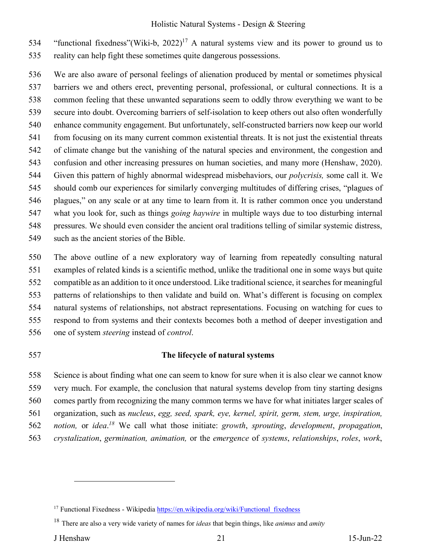534 "functional fixedness"(Wiki-b,  $2022$ )<sup>17</sup> A natural systems view and its power to ground us to 535 reality can help fight these sometimes quite dangerous possessions.

536 We are also aware of personal feelings of alienation produced by mental or sometimes physical 537 barriers we and others erect, preventing personal, professional, or cultural connections. It is a 538 common feeling that these unwanted separations seem to oddly throw everything we want to be 539 secure into doubt. Overcoming barriers of self-isolation to keep others out also often wonderfully 540 enhance community engagement. But unfortunately, self-constructed barriers now keep our world 541 from focusing on its many current common existential threats. It is not just the existential threats 542 of climate change but the vanishing of the natural species and environment, the congestion and 543 confusion and other increasing pressures on human societies, and many more (Henshaw, 2020). 544 Given this pattern of highly abnormal widespread misbehaviors, our *polycrisis,* some call it. We 545 should comb our experiences for similarly converging multitudes of differing crises, "plagues of 546 plagues," on any scale or at any time to learn from it. It is rather common once you understand 547 what you look for, such as things *going haywire* in multiple ways due to too disturbing internal 548 pressures. We should even consider the ancient oral traditions telling of similar systemic distress, 549 such as the ancient stories of the Bible.

550 The above outline of a new exploratory way of learning from repeatedly consulting natural 551 examples of related kinds is a scientific method, unlike the traditional one in some ways but quite 552 compatible as an addition to it once understood. Like traditional science, it searches for meaningful 553 patterns of relationships to then validate and build on. What's different is focusing on complex 554 natural systems of relationships, not abstract representations. Focusing on watching for cues to 555 respond to from systems and their contexts becomes both a method of deeper investigation and 556 one of system *steering* instead of *control*.

#### 557 **The lifecycle of natural systems**

558 Science is about finding what one can seem to know for sure when it is also clear we cannot know 559 very much. For example, the conclusion that natural systems develop from tiny starting designs 560 comes partly from recognizing the many common terms we have for what initiates larger scales of 561 organization, such as *nucleus*, *egg, seed, spark, eye, kernel, spirit, germ, stem, urge, inspiration,*  562 notion, or idea.<sup>18</sup> We call what those initiate: *growth*, *sprouting*, *development*, *propagation*, 563 *crystalization*, *germination, animation,* or the *emergence* of *systems*, *relationships*, *roles*, *work*,

<sup>&</sup>lt;sup>17</sup> Functional Fixedness - Wikipedia https://en.wikipedia.org/wiki/Functional\_fixedness

<sup>18</sup> There are also a very wide variety of names for *ideas* that begin things, like *animus* and *amity*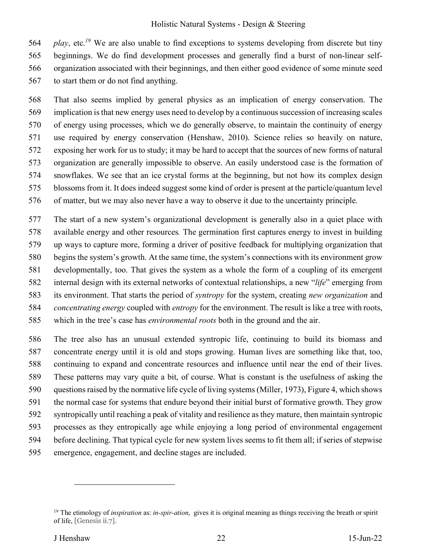564 *play*, etc.<sup>19</sup> We are also unable to find exceptions to systems developing from discrete but tiny 565 beginnings. We do find development processes and generally find a burst of non-linear self-566 organization associated with their beginnings, and then either good evidence of some minute seed 567 to start them or do not find anything.

568 That also seems implied by general physics as an implication of energy conservation. The 569 implication is that new energy uses need to develop by a continuous succession of increasing scales 570 of energy using processes, which we do generally observe, to maintain the continuity of energy 571 use required by energy conservation (Henshaw, 2010). Science relies so heavily on nature, 572 exposing her work for us to study; it may be hard to accept that the sources of new forms of natural 573 organization are generally impossible to observe. An easily understood case is the formation of 574 snowflakes. We see that an ice crystal forms at the beginning, but not how its complex design 575 blossoms from it. It does indeed suggest some kind of order is present at the particle/quantum level 576 of matter, but we may also never have a way to observe it due to the uncertainty principle.

577 The start of a new system's organizational development is generally also in a quiet place with 578 available energy and other resources*.* The germination first captures energy to invest in building 579 up ways to capture more, forming a driver of positive feedback for multiplying organization that 580 begins the system's growth. At the same time, the system's connections with its environment grow 581 developmentally, too. That gives the system as a whole the form of a coupling of its emergent 582 internal design with its external networks of contextual relationships, a new "*life*" emerging from 583 its environment. That starts the period of *syntropy* for the system, creating *new organization* and 584 *concentrating energy* coupled with *entropy* for the environment. The result is like a tree with roots, 585 which in the tree's case has *environmental roots* both in the ground and the air.

586 The tree also has an unusual extended syntropic life, continuing to build its biomass and 587 concentrate energy until it is old and stops growing. Human lives are something like that, too, 588 continuing to expand and concentrate resources and influence until near the end of their lives. 589 These patterns may vary quite a bit, of course. What is constant is the usefulness of asking the 590 questions raised by the normative life cycle of living systems (Miller, 1973), Figure 4, which shows 591 the normal case for systems that endure beyond their initial burst of formative growth. They grow 592 syntropically until reaching a peak of vitality and resilience as they mature, then maintain syntropic 593 processes as they entropically age while enjoying a long period of environmental engagement 594 before declining. That typical cycle for new system lives seems to fit them all; if series of stepwise 595 emergence, engagement, and decline stages are included.

<sup>19</sup> The etimology of *inspiration* as: *in-spir-ation*, gives it is original meaning as things receiving the breath or spirit of life, [Genesis ii.7].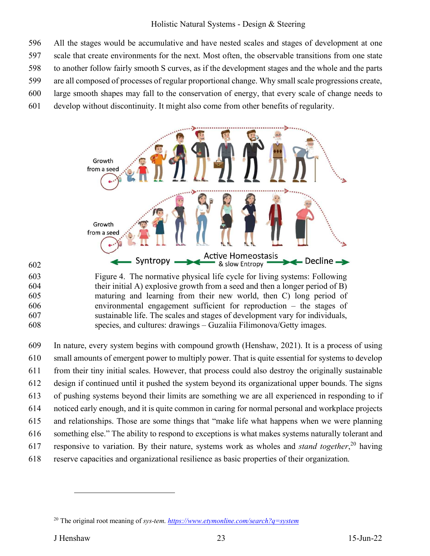596 All the stages would be accumulative and have nested scales and stages of development at one 597 scale that create environments for the next. Most often, the observable transitions from one state 598 to another follow fairly smooth S curves, as if the development stages and the whole and the parts 599 are all composed of processes of regular proportional change. Why small scale progressions create, 600 large smooth shapes may fall to the conservation of energy, that every scale of change needs to

601 develop without discontinuity. It might also come from other benefits of regularity.



602

603 Figure 4. The normative physical life cycle for living systems: Following 604 their initial A) explosive growth from a seed and then a longer period of B) 605 maturing and learning from their new world, then C) long period of 606 environmental engagement sufficient for reproduction – the stages of 607 sustainable life. The scales and stages of development vary for individuals, 608 species, and cultures: drawings – Guzaliia Filimonova/Getty images.

609 In nature, every system begins with compound growth (Henshaw, 2021). It is a process of using 610 small amounts of emergent power to multiply power. That is quite essential for systems to develop 611 from their tiny initial scales. However, that process could also destroy the originally sustainable 612 design if continued until it pushed the system beyond its organizational upper bounds. The signs 613 of pushing systems beyond their limits are something we are all experienced in responding to if 614 noticed early enough, and it is quite common in caring for normal personal and workplace projects 615 and relationships. Those are some things that "make life what happens when we were planning 616 something else." The ability to respond to exceptions is what makes systems naturally tolerant and 617 responsive to variation. By their nature, systems work as wholes and *stand together*,<sup>20</sup> having 618 reserve capacities and organizational resilience as basic properties of their organization.

<sup>20</sup> The original root meaning of *sys-tem*. *https://www.etymonline.com/search?q=system*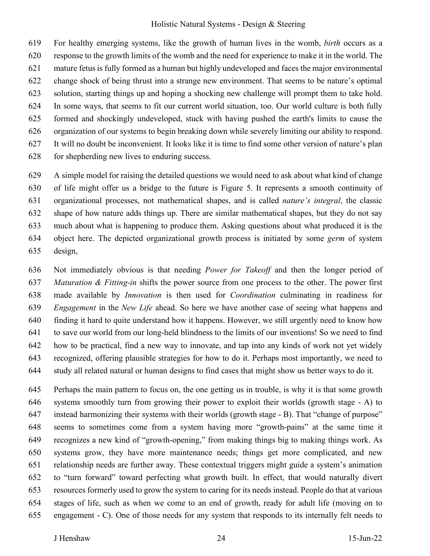619 For healthy emerging systems, like the growth of human lives in the womb, *birth* occurs as a 620 response to the growth limits of the womb and the need for experience to make it in the world. The 621 mature fetus is fully formed as a human but highly undeveloped and faces the major environmental 622 change shock of being thrust into a strange new environment. That seems to be nature's optimal 623 solution, starting things up and hoping a shocking new challenge will prompt them to take hold. 624 In some ways, that seems to fit our current world situation, too. Our world culture is both fully 625 formed and shockingly undeveloped, stuck with having pushed the earth's limits to cause the 626 organization of our systems to begin breaking down while severely limiting our ability to respond. 627 It will no doubt be inconvenient. It looks like it is time to find some other version of nature's plan 628 for shepherding new lives to enduring success.

629 A simple model for raising the detailed questions we would need to ask about what kind of change 630 of life might offer us a bridge to the future is Figure 5. It represents a smooth continuity of 631 organizational processes, not mathematical shapes, and is called *nature's integral*, the classic 632 shape of how nature adds things up. There are similar mathematical shapes, but they do not say 633 much about what is happening to produce them. Asking questions about what produced it is the 634 object here. The depicted organizational growth process is initiated by some *germ* of system 635 design,

636 Not immediately obvious is that needing *Power for Takeoff* and then the longer period of 637 *Maturation & Fitting-in* shifts the power source from one process to the other. The power first 638 made available by *Innovation* is then used for *Coordination* culminating in readiness for 639 *Engagement* in the *New Life* ahead. So here we have another case of seeing what happens and 640 finding it hard to quite understand how it happens. However, we still urgently need to know how 641 to save our world from our long-held blindness to the limits of our inventions! So we need to find 642 how to be practical, find a new way to innovate, and tap into any kinds of work not yet widely 643 recognized, offering plausible strategies for how to do it. Perhaps most importantly, we need to 644 study all related natural or human designs to find cases that might show us better ways to do it.

645 Perhaps the main pattern to focus on, the one getting us in trouble, is why it is that some growth 646 systems smoothly turn from growing their power to exploit their worlds (growth stage - A) to 647 instead harmonizing their systems with their worlds (growth stage - B). That "change of purpose" 648 seems to sometimes come from a system having more "growth-pains" at the same time it 649 recognizes a new kind of "growth-opening," from making things big to making things work. As 650 systems grow, they have more maintenance needs; things get more complicated, and new 651 relationship needs are further away. These contextual triggers might guide a system's animation 652 to "turn forward" toward perfecting what growth built. In effect, that would naturally divert 653 resources formerly used to grow the system to caring for its needs instead. People do that at various 654 stages of life, such as when we come to an end of growth, ready for adult life (moving on to 655 engagement - C). One of those needs for any system that responds to its internally felt needs to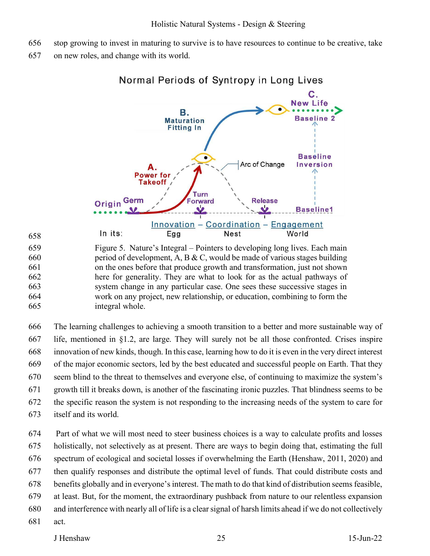- 656 stop growing to invest in maturing to survive is to have resources to continue to be creative, take
- 657 on new roles, and change with its world.



Normal Periods of Syntropy in Long Lives

659 Figure 5. Nature's Integral – Pointers to developing long lives. Each main 660 between period of development, A, B & C, would be made of various stages building 661 on the ones before that produce growth and transformation, just not shown 662 here for generality. They are what to look for as the actual pathways of 663 system change in any particular case. One sees these successive stages in 664 work on any project, new relationship, or education, combining to form the 665 integral whole.

666 The learning challenges to achieving a smooth transition to a better and more sustainable way of 667 life, mentioned in §1.2, are large. They will surely not be all those confronted. Crises inspire 668 innovation of new kinds, though. In this case, learning how to do it is even in the very direct interest 669 of the major economic sectors, led by the best educated and successful people on Earth. That they 670 seem blind to the threat to themselves and everyone else, of continuing to maximize the system's 671 growth till it breaks down, is another of the fascinating ironic puzzles. That blindness seems to be 672 the specific reason the system is not responding to the increasing needs of the system to care for 673 itself and its world.

674 Part of what we will most need to steer business choices is a way to calculate profits and losses 675 holistically, not selectively as at present. There are ways to begin doing that, estimating the full 676 spectrum of ecological and societal losses if overwhelming the Earth (Henshaw, 2011, 2020) and 677 then qualify responses and distribute the optimal level of funds. That could distribute costs and 678 benefits globally and in everyone's interest. The math to do that kind of distribution seems feasible, 679 at least. But, for the moment, the extraordinary pushback from nature to our relentless expansion 680 and interference with nearly all of life is a clear signal of harsh limits ahead if we do not collectively 681 act.

#### J Henshaw 25 15-Jun-22

658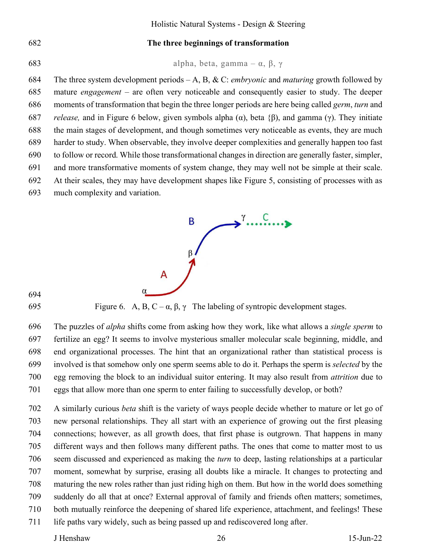#### 682 **The three beginnings of transformation**

683 alpha, beta, gamma – α, β, γ

684 The three system development periods – A, B, & C: *embryonic* and *maturing* growth followed by 685 mature *engagement* – are often very noticeable and consequently easier to study. The deeper 686 moments of transformation that begin the three longer periods are here being called *germ*, *turn* and 687 *release,* and in Figure 6 below, given symbols alpha (α), beta {β), and gamma (γ). They initiate 688 the main stages of development, and though sometimes very noticeable as events, they are much 689 harder to study. When observable, they involve deeper complexities and generally happen too fast 690 to follow or record. While those transformational changes in direction are generally faster, simpler, 691 and more transformative moments of system change, they may well not be simple at their scale. 692 At their scales, they may have development shapes like Figure 5, consisting of processes with as 693 much complexity and variation.



694

695 Figure 6. A, B, C – α, β, γ The labeling of syntropic development stages.

696 The puzzles of *alpha* shifts come from asking how they work, like what allows a *single sperm* to 697 fertilize an egg? It seems to involve mysterious smaller molecular scale beginning, middle, and 698 end organizational processes. The hint that an organizational rather than statistical process is 699 involved is that somehow only one sperm seems able to do it. Perhaps the sperm is *selected* by the 700 egg removing the block to an individual suitor entering. It may also result from *attrition* due to 701 eggs that allow more than one sperm to enter failing to successfully develop, or both?

702 A similarly curious *beta* shift is the variety of ways people decide whether to mature or let go of 703 new personal relationships. They all start with an experience of growing out the first pleasing 704 connections; however, as all growth does, that first phase is outgrown. That happens in many 705 different ways and then follows many different paths. The ones that come to matter most to us 706 seem discussed and experienced as making the *turn* to deep, lasting relationships at a particular 707 moment, somewhat by surprise, erasing all doubts like a miracle. It changes to protecting and 708 maturing the new roles rather than just riding high on them. But how in the world does something 709 suddenly do all that at once? External approval of family and friends often matters; sometimes, 710 both mutually reinforce the deepening of shared life experience, attachment, and feelings! These 711 life paths vary widely, such as being passed up and rediscovered long after.

J Henshaw 26 15-Jun-22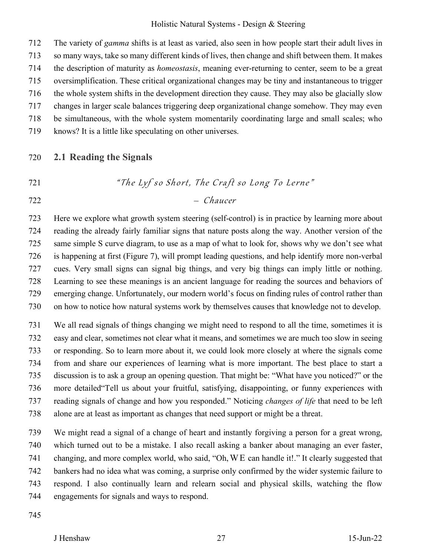712 The variety of *gamma* shifts is at least as varied, also seen in how people start their adult lives in 713 so many ways, take so many different kinds of lives, then change and shift between them. It makes 714 the description of maturity as *homeostasis*, meaning ever-returning to center, seem to be a great 715 oversimplification. These critical organizational changes may be tiny and instantaneous to trigger 716 the whole system shifts in the development direction they cause. They may also be glacially slow 717 changes in larger scale balances triggering deep organizational change somehow. They may even 718 be simultaneous, with the whole system momentarily coordinating large and small scales; who

719 knows? It is a little like speculating on other universes.

#### 720 **2.1 Reading the Signals**

721 *The Lyf so Short, The Craft so Long To Lerne*"

722 – Chaucer

723 Here we explore what growth system steering (self-control) is in practice by learning more about 724 reading the already fairly familiar signs that nature posts along the way. Another version of the 725 same simple S curve diagram, to use as a map of what to look for, shows why we don't see what 726 is happening at first (Figure 7), will prompt leading questions, and help identify more non-verbal 727 cues. Very small signs can signal big things, and very big things can imply little or nothing. 728 Learning to see these meanings is an ancient language for reading the sources and behaviors of 729 emerging change. Unfortunately, our modern world's focus on finding rules of control rather than 730 on how to notice how natural systems work by themselves causes that knowledge not to develop.

731 We all read signals of things changing we might need to respond to all the time, sometimes it is 732 easy and clear, sometimes not clear what it means, and sometimes we are much too slow in seeing 733 or responding. So to learn more about it, we could look more closely at where the signals come 734 from and share our experiences of learning what is more important. The best place to start a 735 discussion is to ask a group an opening question. That might be: "What have you noticed?" or the 736 more detailed"Tell us about your fruitful, satisfying, disappointing, or funny experiences with 737 reading signals of change and how you responded." Noticing *changes of life* that need to be left 738 alone are at least as important as changes that need support or might be a threat.

739 We might read a signal of a change of heart and instantly forgiving a person for a great wrong, 740 which turned out to be a mistake. I also recall asking a banker about managing an ever faster, 741 changing, and more complex world, who said, "Oh,W E can handle it!." It clearly suggested that 742 bankers had no idea what was coming, a surprise only confirmed by the wider systemic failure to 743 respond. I also continually learn and relearn social and physical skills, watching the flow 744 engagements for signals and ways to respond.

745

#### J Henshaw 27 15-Jun-22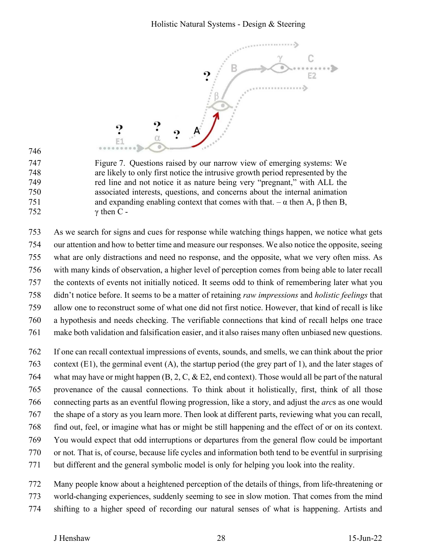

746

747 Figure 7. Questions raised by our narrow view of emerging systems: We 748 are likely to only first notice the intrusive growth period represented by the 749 red line and not notice it as nature being very "pregnant," with ALL the 750 associated interests, questions, and concerns about the internal animation 751 and expanding enabling context that comes with that. – α then A, β then B,  $752 \quad \gamma \text{ then } C$  -

753 As we search for signs and cues for response while watching things happen, we notice what gets 754 our attention and how to better time and measure our responses. We also notice the opposite, seeing 755 what are only distractions and need no response, and the opposite, what we very often miss. As 756 with many kinds of observation, a higher level of perception comes from being able to later recall 757 the contexts of events not initially noticed. It seems odd to think of remembering later what you 758 didn't notice before. It seems to be a matter of retaining *raw impressions* and *holistic feelings* that 759 allow one to reconstruct some of what one did not first notice. However, that kind of recall is like 760 a hypothesis and needs checking. The verifiable connections that kind of recall helps one trace 761 make both validation and falsification easier, and it also raises many often unbiased new questions.

762 If one can recall contextual impressions of events, sounds, and smells, we can think about the prior 763 context (E1), the germinal event (A), the startup period (the grey part of 1), and the later stages of 764 what may have or might happen  $(B, 2, C, \& E2)$ , end context). Those would all be part of the natural 765 provenance of the causal connections. To think about it holistically, first, think of all those 766 connecting parts as an eventful flowing progression, like a story, and adjust the *arc*s as one would 767 the shape of a story as you learn more. Then look at different parts, reviewing what you can recall, 768 find out, feel, or imagine what has or might be still happening and the effect of or on its context. 769 You would expect that odd interruptions or departures from the general flow could be important 770 or not. That is, of course, because life cycles and information both tend to be eventful in surprising 771 but different and the general symbolic model is only for helping you look into the reality.

772 Many people know about a heightened perception of the details of things, from life-threatening or 773 world-changing experiences, suddenly seeming to see in slow motion. That comes from the mind

774 shifting to a higher speed of recording our natural senses of what is happening. Artists and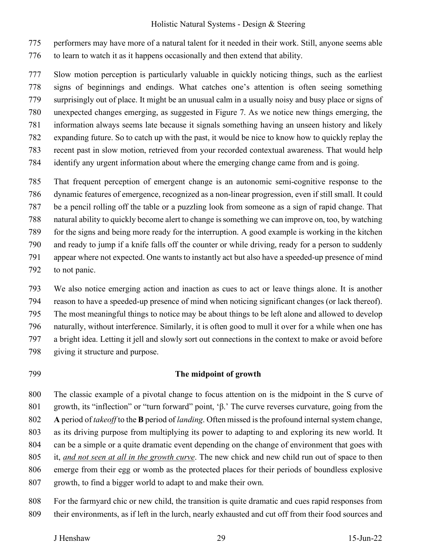775 performers may have more of a natural talent for it needed in their work. Still, anyone seems able 776 to learn to watch it as it happens occasionally and then extend that ability.

777 Slow motion perception is particularly valuable in quickly noticing things, such as the earliest 778 signs of beginnings and endings. What catches one's attention is often seeing something 779 surprisingly out of place. It might be an unusual calm in a usually noisy and busy place or signs of 780 unexpected changes emerging, as suggested in Figure 7. As we notice new things emerging, the 781 information always seems late because it signals something having an unseen history and likely 782 expanding future. So to catch up with the past, it would be nice to know how to quickly replay the 783 recent past in slow motion, retrieved from your recorded contextual awareness. That would help 784 identify any urgent information about where the emerging change came from and is going.

785 That frequent perception of emergent change is an autonomic semi-cognitive response to the 786 dynamic features of emergence, recognized as a non-linear progression, even if still small. It could 787 be a pencil rolling off the table or a puzzling look from someone as a sign of rapid change. That 788 natural ability to quickly become alert to change is something we can improve on, too, by watching 789 for the signs and being more ready for the interruption. A good example is working in the kitchen 790 and ready to jump if a knife falls off the counter or while driving, ready for a person to suddenly 791 appear where not expected. One wants to instantly act but also have a speeded-up presence of mind 792 to not panic.

- 793 We also notice emerging action and inaction as cues to act or leave things alone. It is another 794 reason to have a speeded-up presence of mind when noticing significant changes (or lack thereof). 795 The most meaningful things to notice may be about things to be left alone and allowed to develop 796 naturally, without interference. Similarly, it is often good to mull it over for a while when one has 797 a bright idea. Letting it jell and slowly sort out connections in the context to make or avoid before 798 giving it structure and purpose.
- 

#### 799 **The midpoint of growth**

800 The classic example of a pivotal change to focus attention on is the midpoint in the S curve of 801 growth, its "inflection" or "turn forward" point, 'β.' The curve reverses curvature, going from the 802 **A** period of *takeoff* to the **B** period of *landing*. Often missed is the profound internal system change, 803 as its driving purpose from multiplying its power to adapting to and exploring its new world. It 804 can be a simple or a quite dramatic event depending on the change of environment that goes with 805 it, *and not seen at all in the growth curve*. The new chick and new child run out of space to then 806 emerge from their egg or womb as the protected places for their periods of boundless explosive 807 growth, to find a bigger world to adapt to and make their own.

808 For the farmyard chic or new child, the transition is quite dramatic and cues rapid responses from 809 their environments, as if left in the lurch, nearly exhausted and cut off from their food sources and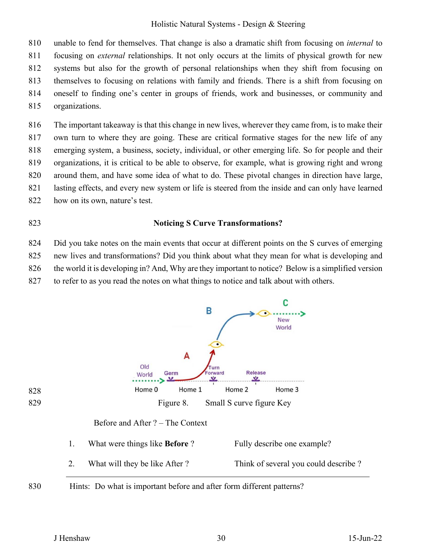810 unable to fend for themselves. That change is also a dramatic shift from focusing on *internal* to 811 focusing on *external* relationships. It not only occurs at the limits of physical growth for new 812 systems but also for the growth of personal relationships when they shift from focusing on 813 themselves to focusing on relations with family and friends. There is a shift from focusing on 814 oneself to finding one's center in groups of friends, work and businesses, or community and 815 organizations.

816 The important takeaway is that this change in new lives, wherever they came from, is to make their 817 own turn to where they are going. These are critical formative stages for the new life of any 818 emerging system, a business, society, individual, or other emerging life. So for people and their 819 organizations, it is critical to be able to observe, for example, what is growing right and wrong 820 around them, and have some idea of what to do. These pivotal changes in direction have large, 821 lasting effects, and every new system or life is steered from the inside and can only have learned 822 how on its own, nature's test.

#### 823 **Noticing S Curve Transformations?**

824 Did you take notes on the main events that occur at different points on the S curves of emerging 825 new lives and transformations? Did you think about what they mean for what is developing and 826 the world it is developing in? And, Why are they important to notice? Below is a simplified version 827 to refer to as you read the notes on what things to notice and talk about with others.

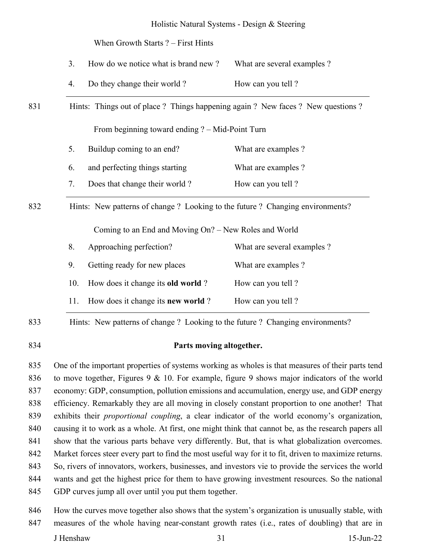When Growth Starts ? – First Hints

|  | How do we notice what is brand new? | What are several examples? |
|--|-------------------------------------|----------------------------|
|--|-------------------------------------|----------------------------|

- 4. Do they change their world ? How can you tell ?
- 831 Hints: Things out of place ? Things happening again ? New faces ? New questions ?

From beginning toward ending ? – Mid-Point Turn

5. Buildup coming to an end? What are examples ?

6. and perfecting things starting What are examples ?

7. Does that change their world ? How can you tell ?

832 Hints: New patterns of change ? Looking to the future ? Changing environments?

Coming to an End and Moving On? – New Roles and World

| 8. |    | Approaching perfection?                       | What are several examples? |
|----|----|-----------------------------------------------|----------------------------|
|    | 9. | Getting ready for new places                  | What are examples?         |
|    |    | 10. How does it change its old world?         | How can you tell?          |
|    |    | 11. How does it change its <b>new world</b> ? | How can you tell?          |

833 Hints: New patterns of change ? Looking to the future ? Changing environments?

#### 834 **Parts moving altogether.**

835 One of the important properties of systems working as wholes is that measures of their parts tend 836 to move together, Figures 9 & 10. For example, figure 9 shows major indicators of the world 837 economy: GDP, consumption, pollution emissions and accumulation, energy use, and GDP energy 838 efficiency. Remarkably they are all moving in closely constant proportion to one another! That 839 exhibits their *proportional coupling*, a clear indicator of the world economy's organization, 840 causing it to work as a whole. At first, one might think that cannot be, as the research papers all 841 show that the various parts behave very differently. But, that is what globalization overcomes. 842 Market forces steer every part to find the most useful way for it to fit, driven to maximize returns. 843 So, rivers of innovators, workers, businesses, and investors vie to provide the services the world 844 wants and get the highest price for them to have growing investment resources. So the national 845 GDP curves jump all over until you put them together.

846 How the curves move together also shows that the system's organization is unusually stable, with 847 measures of the whole having near-constant growth rates (i.e., rates of doubling) that are in

J Henshaw 31 15-Jun-22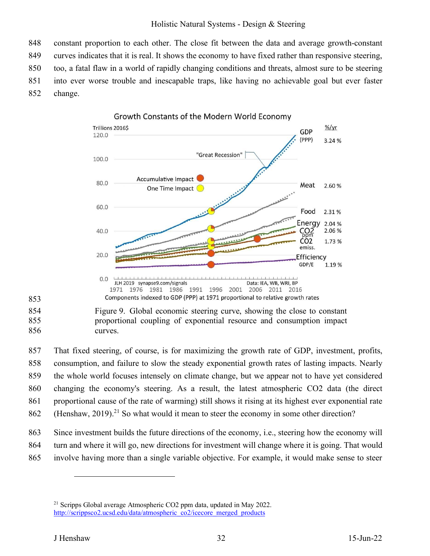848 constant proportion to each other. The close fit between the data and average growth-constant 849 curves indicates that it is real. It shows the economy to have fixed rather than responsive steering, 850 too, a fatal flaw in a world of rapidly changing conditions and threats, almost sure to be steering 851 into ever worse trouble and inescapable traps, like having no achievable goal but ever faster 852 change.



853

854 Figure 9. Global economic steering curve, showing the close to constant 855 proportional coupling of exponential resource and consumption impact 856 curves.

857 That fixed steering, of course, is for maximizing the growth rate of GDP, investment, profits, 858 consumption, and failure to slow the steady exponential growth rates of lasting impacts. Nearly 859 the whole world focuses intensely on climate change, but we appear not to have yet considered 860 changing the economy's steering. As a result, the latest atmospheric CO2 data (the direct 861 proportional cause of the rate of warming) still shows it rising at its highest ever exponential rate 862 (Henshaw, 2019).<sup>21</sup> So what would it mean to steer the economy in some other direction?

863 Since investment builds the future directions of the economy, i.e., steering how the economy will

- 864 turn and where it will go, new directions for investment will change where it is going. That would
- 865 involve having more than a single variable objective. For example, it would make sense to steer

<sup>&</sup>lt;sup>21</sup> Scripps Global average Atmospheric CO2 ppm data, updated in May 2022. http://scrippsco2.ucsd.edu/data/atmospheric\_co2/icecore\_merged\_products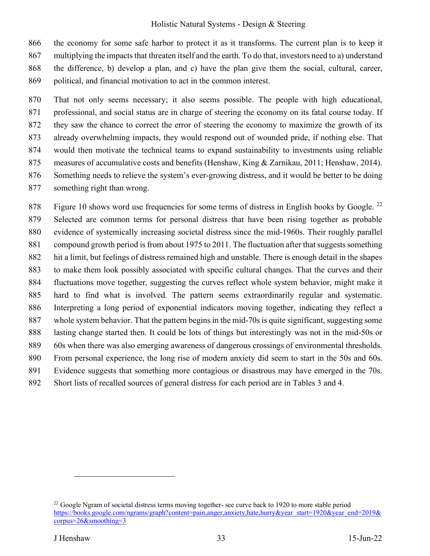866 the economy for some safe harbor to protect it as it transforms. The current plan is to keep it 867 multiplying the impacts that threaten itself and the earth. To do that, investors need to a) understand 868 the difference, b) develop a plan, and c) have the plan give them the social, cultural, career, 869 political, and financial motivation to act in the common interest.

870 That not only seems necessary; it also seems possible. The people with high educational, 871 professional, and social status are in charge of steering the economy on its fatal course today. If 872 they saw the chance to correct the error of steering the economy to maximize the growth of its 873 already overwhelming impacts, they would respond out of wounded pride, if nothing else. That 874 would then motivate the technical teams to expand sustainability to investments using reliable 875 measures of accumulative costs and benefits (Henshaw, King & Zarnikau, 2011; Henshaw, 2014). 876 Something needs to relieve the system's ever-growing distress, and it would be better to be doing 877 something right than wrong.

878 Figure 10 shows word use frequencies for some terms of distress in English books by Google.  $^{22}$ 879 Selected are common terms for personal distress that have been rising together as probable 880 evidence of systemically increasing societal distress since the mid-1960s. Their roughly parallel 881 compound growth period is from about 1975 to 2011. The fluctuation after that suggests something 882 hit a limit, but feelings of distress remained high and unstable. There is enough detail in the shapes 883 to make them look possibly associated with specific cultural changes. That the curves and their 884 fluctuations move together, suggesting the curves reflect whole system behavior, might make it 885 hard to find what is involved. The pattern seems extraordinarily regular and systematic. 886 Interpreting a long period of exponential indicators moving together, indicating they reflect a 887 whole system behavior. That the pattern begins in the mid-70s is quite significant, suggesting some 888 lasting change started then. It could be lots of things but interestingly was not in the mid-50s or 889 60s when there was also emerging awareness of dangerous crossings of environmental thresholds. 890 From personal experience, the long rise of modern anxiety did seem to start in the 50s and 60s. 891 Evidence suggests that something more contagious or disastrous may have emerged in the 70s. 892 Short lists of recalled sources of general distress for each period are in Tables 3 and 4.

<sup>&</sup>lt;sup>22</sup> Google Ngram of societal distress terms moving together- see curve back to 1920 to more stable period https://books.google.com/ngrams/graph?content=pain,anger,anxiety,hate,hurry&year\_start=1920&year\_end=2019& corpus=26&smoothing=3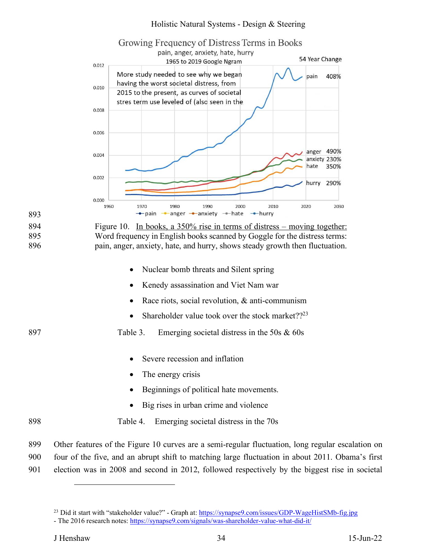

901 election was in 2008 and second in 2012, followed respectively by the biggest rise in societal

<sup>&</sup>lt;sup>23</sup> Did it start with "stakeholder value?" - Graph at: https://synapse9.com/issues/GDP-WageHistSMb-fig.jpg

<sup>-</sup> The 2016 research notes: https://synapse9.com/signals/was-shareholder-value-what-did-it/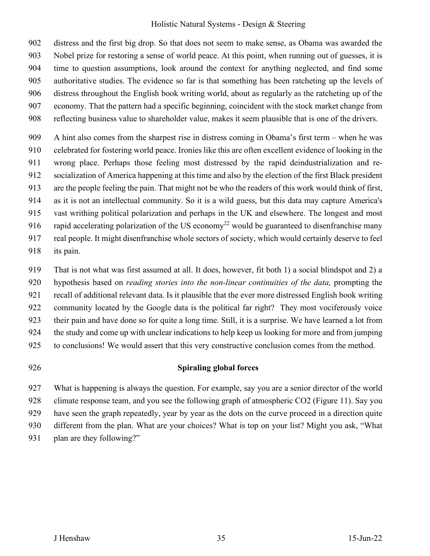902 distress and the first big drop. So that does not seem to make sense, as Obama was awarded the 903 Nobel prize for restoring a sense of world peace. At this point, when running out of guesses, it is 904 time to question assumptions, look around the context for anything neglected, and find some 905 authoritative studies. The evidence so far is that something has been ratcheting up the levels of 906 distress throughout the English book writing world, about as regularly as the ratcheting up of the 907 economy. That the pattern had a specific beginning, coincident with the stock market change from 908 reflecting business value to shareholder value, makes it seem plausible that is one of the drivers.

909 A hint also comes from the sharpest rise in distress coming in Obama's first term – when he was 910 celebrated for fostering world peace. Ironies like this are often excellent evidence of looking in the 911 wrong place. Perhaps those feeling most distressed by the rapid deindustrialization and re-912 socialization of America happening at this time and also by the election of the first Black president 913 are the people feeling the pain. That might not be who the readers of this work would think of first, 914 as it is not an intellectual community. So it is a wild guess, but this data may capture America's 915 vast writhing political polarization and perhaps in the UK and elsewhere. The longest and most 916 rapid accelerating polarization of the US economy<sup>22</sup> would be guaranteed to disenfranchise many 917 real people. It might disenfranchise whole sectors of society, which would certainly deserve to feel 918 its pain.

919 That is not what was first assumed at all. It does, however, fit both 1) a social blindspot and 2) a 920 hypothesis based on *reading stories into the non-linear continuities of the data,* prompting the 921 recall of additional relevant data. Is it plausible that the ever more distressed English book writing 922 community located by the Google data is the political far right? They most vociferously voice 923 their pain and have done so for quite a long time. Still, it is a surprise. We have learned a lot from 924 the study and come up with unclear indications to help keep us looking for more and from jumping 925 to conclusions! We would assert that this very constructive conclusion comes from the method.

#### 926 **Spiraling global forces**

927 What is happening is always the question. For example, say you are a senior director of the world 928 climate response team, and you see the following graph of atmospheric CO2 (Figure 11). Say you 929 have seen the graph repeatedly, year by year as the dots on the curve proceed in a direction quite 930 different from the plan. What are your choices? What is top on your list? Might you ask, "What 931 plan are they following?"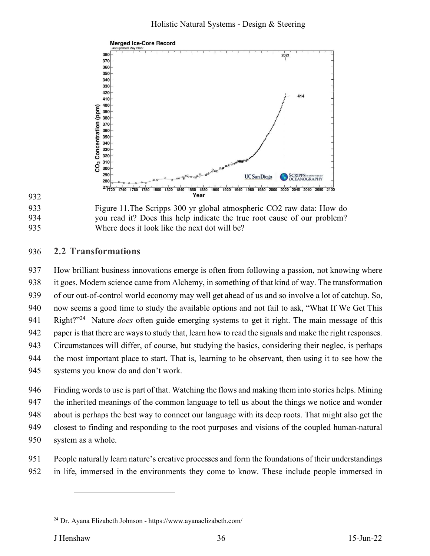



933 Figure 11.The Scripps 300 yr global atmospheric CO2 raw data: How do 934 you read it? Does this help indicate the true root cause of our problem? 935 Where does it look like the next dot will be?

# 936 **2.2 Transformations**

937 How brilliant business innovations emerge is often from following a passion, not knowing where 938 it goes. Modern science came from Alchemy, in something of that kind of way. The transformation 939 of our out-of-control world economy may well get ahead of us and so involve a lot of catchup. So, 940 now seems a good time to study the available options and not fail to ask, "What If We Get This 941 Right?"<sup>24</sup> Nature *does* often guide emerging systems to get it right. The main message of this 942 paper is that there are ways to study that, learn how to read the signals and make the right responses. 943 Circumstances will differ, of course, but studying the basics, considering their neglec, is perhaps 944 the most important place to start. That is, learning to be observant, then using it to see how the 945 systems you know do and don't work.

946 Finding words to use is part of that. Watching the flows and making them into stories helps. Mining 947 the inherited meanings of the common language to tell us about the things we notice and wonder 948 about is perhaps the best way to connect our language with its deep roots. That might also get the 949 closest to finding and responding to the root purposes and visions of the coupled human-natural 950 system as a whole.

- 951 People naturally learn nature's creative processes and form the foundations of their understandings
- 952 in life, immersed in the environments they come to know. These include people immersed in

<sup>24</sup> Dr. Ayana Elizabeth Johnson - https://www.ayanaelizabeth.com/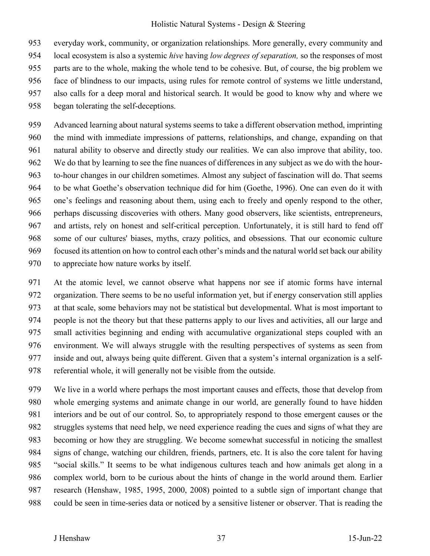953 everyday work, community, or organization relationships. More generally, every community and 954 local ecosystem is also a systemic *hive* having *low degrees of separation,* so the responses of most 955 parts are to the whole, making the whole tend to be cohesive. But, of course, the big problem we 956 face of blindness to our impacts, using rules for remote control of systems we little understand, 957 also calls for a deep moral and historical search. It would be good to know why and where we 958 began tolerating the self-deceptions.

959 Advanced learning about natural systems seems to take a different observation method, imprinting 960 the mind with immediate impressions of patterns, relationships, and change, expanding on that 961 natural ability to observe and directly study our realities. We can also improve that ability, too. 962 We do that by learning to see the fine nuances of differences in any subject as we do with the hour-963 to-hour changes in our children sometimes. Almost any subject of fascination will do. That seems 964 to be what Goethe's observation technique did for him (Goethe, 1996). One can even do it with 965 one's feelings and reasoning about them, using each to freely and openly respond to the other, 966 perhaps discussing discoveries with others. Many good observers, like scientists, entrepreneurs, 967 and artists, rely on honest and self-critical perception. Unfortunately, it is still hard to fend off 968 some of our cultures' biases, myths, crazy politics, and obsessions. That our economic culture 969 focused its attention on how to control each other's minds and the natural world set back our ability 970 to appreciate how nature works by itself.

971 At the atomic level, we cannot observe what happens nor see if atomic forms have internal 972 organization. There seems to be no useful information yet, but if energy conservation still applies 973 at that scale, some behaviors may not be statistical but developmental. What is most important to 974 people is not the theory but that these patterns apply to our lives and activities, all our large and 975 small activities beginning and ending with accumulative organizational steps coupled with an 976 environment. We will always struggle with the resulting perspectives of systems as seen from 977 inside and out, always being quite different. Given that a system's internal organization is a self-978 referential whole, it will generally not be visible from the outside.

979 We live in a world where perhaps the most important causes and effects, those that develop from 980 whole emerging systems and animate change in our world, are generally found to have hidden 981 interiors and be out of our control. So, to appropriately respond to those emergent causes or the 982 struggles systems that need help, we need experience reading the cues and signs of what they are 983 becoming or how they are struggling. We become somewhat successful in noticing the smallest 984 signs of change, watching our children, friends, partners, etc. It is also the core talent for having 985 "social skills." It seems to be what indigenous cultures teach and how animals get along in a 986 complex world, born to be curious about the hints of change in the world around them. Earlier 987 research (Henshaw, 1985, 1995, 2000, 2008) pointed to a subtle sign of important change that 988 could be seen in time-series data or noticed by a sensitive listener or observer. That is reading the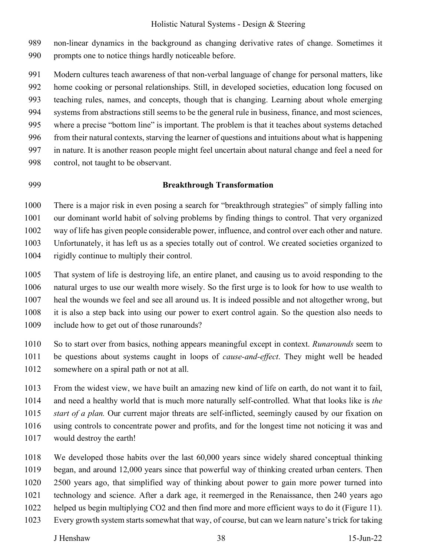989 non-linear dynamics in the background as changing derivative rates of change. Sometimes it 990 prompts one to notice things hardly noticeable before.

991 Modern cultures teach awareness of that non-verbal language of change for personal matters, like 992 home cooking or personal relationships. Still, in developed societies, education long focused on 993 teaching rules, names, and concepts, though that is changing. Learning about whole emerging 994 systems from abstractions still seems to be the general rule in business, finance, and most sciences, 995 where a precise "bottom line" is important. The problem is that it teaches about systems detached 996 from their natural contexts, starving the learner of questions and intuitions about what is happening 997 in nature. It is another reason people might feel uncertain about natural change and feel a need for 998 control, not taught to be observant.

#### 999 **Breakthrough Transformation**

1000 There is a major risk in even posing a search for "breakthrough strategies" of simply falling into 1001 our dominant world habit of solving problems by finding things to control. That very organized 1002 way of life has given people considerable power, influence, and control over each other and nature.

1003 Unfortunately, it has left us as a species totally out of control. We created societies organized to 1004 rigidly continue to multiply their control.

1005 That system of life is destroying life, an entire planet, and causing us to avoid responding to the 1006 natural urges to use our wealth more wisely. So the first urge is to look for how to use wealth to 1007 heal the wounds we feel and see all around us. It is indeed possible and not altogether wrong, but 1008 it is also a step back into using our power to exert control again. So the question also needs to 1009 include how to get out of those runarounds?

1010 So to start over from basics, nothing appears meaningful except in context. *Runarounds* seem to 1011 be questions about systems caught in loops of *cause-and-effect*. They might well be headed

1012 somewhere on a spiral path or not at all.

1013 From the widest view, we have built an amazing new kind of life on earth, do not want it to fail, 1014 and need a healthy world that is much more naturally self-controlled. What that looks like is *the*  1015 *start of a plan.* Our current major threats are self-inflicted, seemingly caused by our fixation on 1016 using controls to concentrate power and profits, and for the longest time not noticing it was and 1017 would destroy the earth!

1018 We developed those habits over the last 60,000 years since widely shared conceptual thinking 1019 began, and around 12,000 years since that powerful way of thinking created urban centers. Then 1020 2500 years ago, that simplified way of thinking about power to gain more power turned into 1021 technology and science. After a dark age, it reemerged in the Renaissance, then 240 years ago 1022 helped us begin multiplying CO2 and then find more and more efficient ways to do it (Figure 11). 1023 Every growth system starts somewhat that way, of course, but can we learn nature's trick for taking

J Henshaw 38 15-Jun-22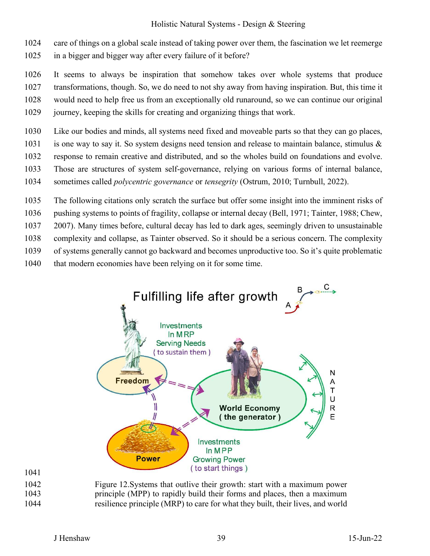1024 care of things on a global scale instead of taking power over them, the fascination we let reemerge

- 1025 in a bigger and bigger way after every failure of it before?
- 1026 It seems to always be inspiration that somehow takes over whole systems that produce

1027 transformations, though. So, we do need to not shy away from having inspiration. But, this time it

1028 would need to help free us from an exceptionally old runaround, so we can continue our original

- 1029 journey, keeping the skills for creating and organizing things that work.
- 1030 Like our bodies and minds, all systems need fixed and moveable parts so that they can go places,

1031 is one way to say it. So system designs need tension and release to maintain balance, stimulus &

- 1032 response to remain creative and distributed, and so the wholes build on foundations and evolve.
- 1033 Those are structures of system self-governance, relying on various forms of internal balance,

1034 sometimes called *polycentric governance* or *tensegrity* (Ostrum, 2010; Turnbull, 2022).

1035 The following citations only scratch the surface but offer some insight into the imminent risks of

1036 pushing systems to points of fragility, collapse or internal decay (Bell, 1971; Tainter, 1988; Chew,

1037 2007). Many times before, cultural decay has led to dark ages, seemingly driven to unsustainable

- 1038 complexity and collapse, as Tainter observed. So it should be a serious concern. The complexity
- 1039 of systems generally cannot go backward and becomes unproductive too. So it's quite problematic
- 1040 that modern economies have been relying on it for some time.



1041

1042 Figure 12.Systems that outlive their growth: start with a maximum power 1043 principle (MPP) to rapidly build their forms and places, then a maximum 1044 resilience principle (MRP) to care for what they built, their lives, and world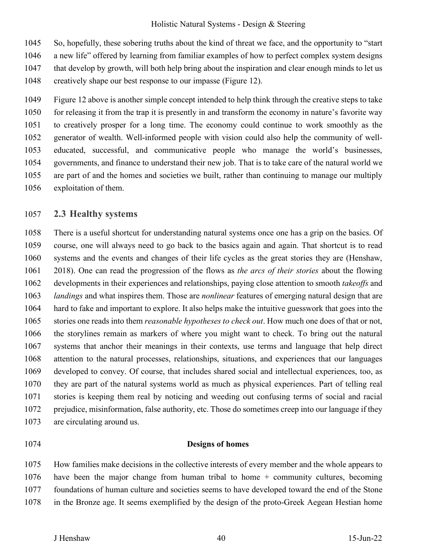1045 So, hopefully, these sobering truths about the kind of threat we face, and the opportunity to "start

- 1046 a new life" offered by learning from familiar examples of how to perfect complex system designs
- 1047 that develop by growth, will both help bring about the inspiration and clear enough minds to let us
- 1048 creatively shape our best response to our impasse (Figure 12).

1049 Figure 12 above is another simple concept intended to help think through the creative steps to take 1050 for releasing it from the trap it is presently in and transform the economy in nature's favorite way 1051 to creatively prosper for a long time. The economy could continue to work smoothly as the 1052 generator of wealth. Well-informed people with vision could also help the community of well-1053 educated, successful, and communicative people who manage the world's businesses, 1054 governments, and finance to understand their new job. That is to take care of the natural world we 1055 are part of and the homes and societies we built, rather than continuing to manage our multiply 1056 exploitation of them.

# 1057 **2.3 Healthy systems**

1058 There is a useful shortcut for understanding natural systems once one has a grip on the basics. Of 1059 course, one will always need to go back to the basics again and again. That shortcut is to read 1060 systems and the events and changes of their life cycles as the great stories they are (Henshaw, 1061 2018). One can read the progression of the flows as *the arcs of their stories* about the flowing 1062 developments in their experiences and relationships, paying close attention to smooth *takeoffs* and 1063 *landings* and what inspires them. Those are *nonlinear* features of emerging natural design that are 1064 hard to fake and important to explore. It also helps make the intuitive guesswork that goes into the 1065 stories one reads into them *reasonable hypotheses to check out*. How much one does of that or not, 1066 the storylines remain as markers of where you might want to check. To bring out the natural 1067 systems that anchor their meanings in their contexts, use terms and language that help direct 1068 attention to the natural processes, relationships, situations, and experiences that our languages 1069 developed to convey. Of course, that includes shared social and intellectual experiences, too, as 1070 they are part of the natural systems world as much as physical experiences. Part of telling real 1071 stories is keeping them real by noticing and weeding out confusing terms of social and racial 1072 prejudice, misinformation, false authority, etc. Those do sometimes creep into our language if they 1073 are circulating around us.

#### 1074 **Designs of homes**

1075 How families make decisions in the collective interests of every member and the whole appears to 1076 have been the major change from human tribal to home + community cultures, becoming 1077 foundations of human culture and societies seems to have developed toward the end of the Stone 1078 in the Bronze age. It seems exemplified by the design of the proto-Greek Aegean Hestian home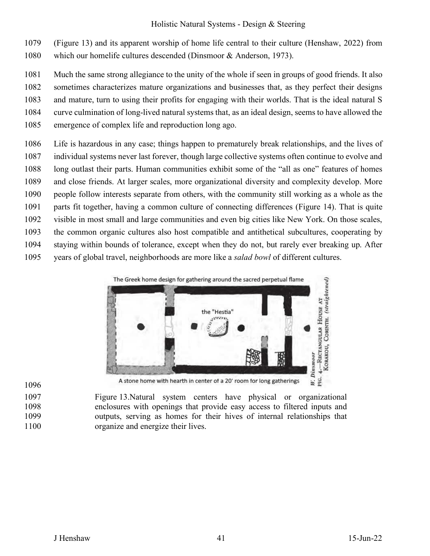1079 (Figure 13) and its apparent worship of home life central to their culture (Henshaw, 2022) from

1080 which our homelife cultures descended (Dinsmoor & Anderson, 1973).

1081 Much the same strong allegiance to the unity of the whole if seen in groups of good friends. It also

1082 sometimes characterizes mature organizations and businesses that, as they perfect their designs

1083 and mature, turn to using their profits for engaging with their worlds. That is the ideal natural S

- 1084 curve culmination of long-lived natural systems that, as an ideal design, seems to have allowed the
- 1085 emergence of complex life and reproduction long ago.
- 1086 Life is hazardous in any case; things happen to prematurely break relationships, and the lives of 1087 individual systems never last forever, though large collective systems often continue to evolve and 1088 long outlast their parts. Human communities exhibit some of the "all as one" features of homes 1089 and close friends. At larger scales, more organizational diversity and complexity develop. More 1090 people follow interests separate from others, with the community still working as a whole as the 1091 parts fit together, having a common culture of connecting differences (Figure 14). That is quite 1092 visible in most small and large communities and even big cities like New York. On those scales, 1093 the common organic cultures also host compatible and antithetical subcultures, cooperating by 1094 staying within bounds of tolerance, except when they do not, but rarely ever breaking up. After
- 1095 years of global travel, neighborhoods are more like a *salad bowl* of different cultures.



1096

A stone home with hearth in center of a 20' room for long gatherings

1097 Figure 13.Natural system centers have physical or organizational 1098 enclosures with openings that provide easy access to filtered inputs and 1099 outputs, serving as homes for their hives of internal relationships that 1100 organize and energize their lives.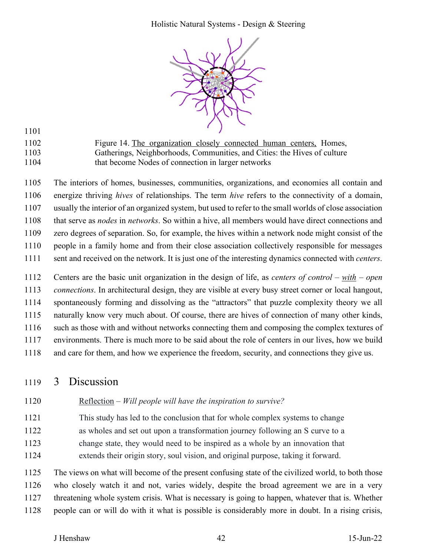

1102 Figure 14. The organization closely connected human centers, Homes, 1103 Gatherings, Neighborhoods, Communities, and Cities: the Hives of culture 1104 that become Nodes of connection in larger networks

1105 The interiors of homes, businesses, communities, organizations, and economies all contain and 1106 energize thriving *hives* of relationships. The term *hive* refers to the connectivity of a domain, 1107 usually the interior of an organized system, but used to refer to the small worlds of close association 1108 that serve as *nodes* in *networks*. So within a hive, all members would have direct connections and 1109 zero degrees of separation. So, for example, the hives within a network node might consist of the 1110 people in a family home and from their close association collectively responsible for messages

1111 sent and received on the network. It is just one of the interesting dynamics connected with *centers*.

1112 Centers are the basic unit organization in the design of life, as *centers of control – with – open*  1113 *connections*. In architectural design, they are visible at every busy street corner or local hangout, 1114 spontaneously forming and dissolving as the "attractors" that puzzle complexity theory we all 1115 naturally know very much about. Of course, there are hives of connection of many other kinds, 1116 such as those with and without networks connecting them and composing the complex textures of 1117 environments. There is much more to be said about the role of centers in our lives, how we build 1118 and care for them, and how we experience the freedom, security, and connections they give us.

# 1119 3 Discussion

1101

- 1120 Reflection *Will people will have the inspiration to survive?*
- 1121 This study has led to the conclusion that for whole complex systems to change 1122 as wholes and set out upon a transformation journey following an S curve to a 1123 change state, they would need to be inspired as a whole by an innovation that 1124 extends their origin story, soul vision, and original purpose, taking it forward.

1125 The views on what will become of the present confusing state of the civilized world, to both those 1126 who closely watch it and not, varies widely, despite the broad agreement we are in a very 1127 threatening whole system crisis. What is necessary is going to happen, whatever that is. Whether 1128 people can or will do with it what is possible is considerably more in doubt. In a rising crisis,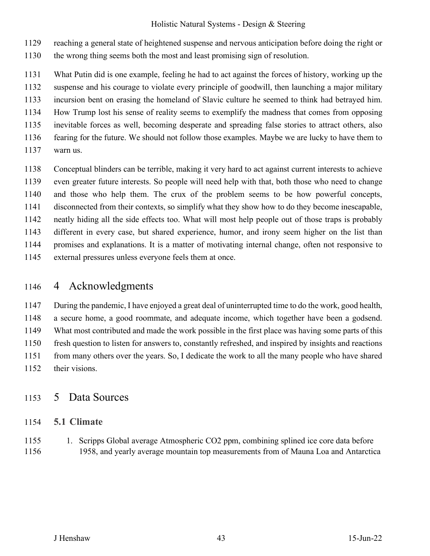1129 reaching a general state of heightened suspense and nervous anticipation before doing the right or

- 1130 the wrong thing seems both the most and least promising sign of resolution.
- 1131 What Putin did is one example, feeling he had to act against the forces of history, working up the 1132 suspense and his courage to violate every principle of goodwill, then launching a major military
- 1133 incursion bent on erasing the homeland of Slavic culture he seemed to think had betrayed him.
- 1134 How Trump lost his sense of reality seems to exemplify the madness that comes from opposing
- 1135 inevitable forces as well, becoming desperate and spreading false stories to attract others, also
- 1136 fearing for the future. We should not follow those examples. Maybe we are lucky to have them to
- 1137 warn us.
- 1138 Conceptual blinders can be terrible, making it very hard to act against current interests to achieve 1139 even greater future interests. So people will need help with that, both those who need to change 1140 and those who help them. The crux of the problem seems to be how powerful concepts, 1141 disconnected from their contexts, so simplify what they show how to do they become inescapable, 1142 neatly hiding all the side effects too. What will most help people out of those traps is probably 1143 different in every case, but shared experience, humor, and irony seem higher on the list than 1144 promises and explanations. It is a matter of motivating internal change, often not responsive to 1145 external pressures unless everyone feels them at once.

# 1146 4 Acknowledgments

1147 During the pandemic, I have enjoyed a great deal of uninterrupted time to do the work, good health, 1148 a secure home, a good roommate, and adequate income, which together have been a godsend. 1149 What most contributed and made the work possible in the first place was having some parts of this 1150 fresh question to listen for answers to, constantly refreshed, and inspired by insights and reactions 1151 from many others over the years. So, I dedicate the work to all the many people who have shared 1152 their visions.

# 1153 5 Data Sources

### 1154 **5.1 Climate**

1155 1. Scripps Global average Atmospheric CO2 ppm, combining splined ice core data before 1156 1958, and yearly average mountain top measurements from of Mauna Loa and Antarctica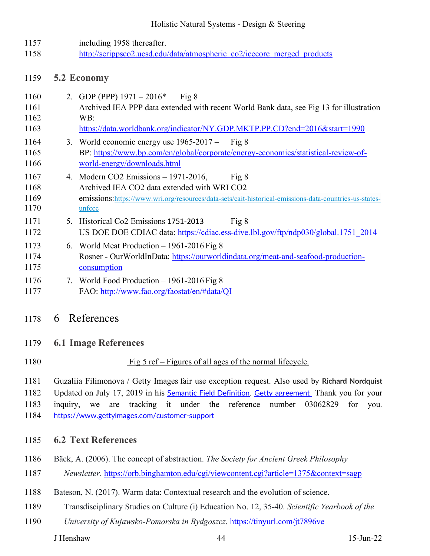1157 including 1958 thereafter. 1158 http://scrippsco2.ucsd.edu/data/atmospheric\_co2/icecore\_merged\_products

#### 1159 **5.2 Economy**

| 1160 | 2. GDP (PPP) $1971 - 2016*$<br>Fig 8                                                                  |
|------|-------------------------------------------------------------------------------------------------------|
| 1161 | Archived IEA PPP data extended with recent World Bank data, see Fig 13 for illustration               |
| 1162 | WB:                                                                                                   |
| 1163 | https://data.worldbank.org/indicator/NY.GDP.MKTP.PP.CD?end=2016&start=1990                            |
| 1164 | 3. World economic energy use $1965-2017 -$ Fig 8                                                      |
| 1165 | BP: https://www.bp.com/en/global/corporate/energy-economics/statistical-review-of-                    |
| 1166 | world-energy/downloads.html                                                                           |
| 1167 | 4. Modern CO2 Emissions $-1971-2016$ ,<br>Fig 8                                                       |
| 1168 | Archived IEA CO2 data extended with WRI CO2                                                           |
| 1169 | emissions:https://www.wri.org/resources/data-sets/cait-historical-emissions-data-countries-us-states- |
| 1170 | unfccc                                                                                                |
| 1171 | Fig 8<br>5. Historical Co2 Emissions 1751-2013                                                        |
| 1172 | US DOE DOE CDIAC data: https://cdiac.ess-dive.lbl.gov/ftp/ndp030/global.1751 2014                     |
| 1173 | 6. World Meat Production $-1961-2016$ Fig 8                                                           |
| 1174 | Rosner - OurWorldInData: https://ourworldindata.org/meat-and-seafood-production-                      |
| 1175 | consumption                                                                                           |
| 1176 | 7. World Food Production - 1961-2016 Fig 8                                                            |
| 1177 | FAO: http://www.fao.org/faostat/en/#data/QI                                                           |

# 1178 6 References

### 1179 **6.1 Image References**

1180 Fig 5 ref – Figures of all ages of the normal lifecycle.

1181 Guzaliia Filimonova / Getty Images fair use exception request. Also used by **Richard Nordquist**

1182 Updated on July 17, 2019 in his Semantic Field Definition. Getty agreement Thank you for your

1183 inquiry, we are tracking it under the reference number 03062829 for you.

1184 https://www.gettyimages.com/customer-support

### 1185 **6.2 Text References**

- 1186 Bäck, A. (2006). The concept of abstraction. *The Society for Ancient Greek Philosophy*
- 1187 *Newsletter*. https://orb.binghamton.edu/cgi/viewcontent.cgi?article=1375&context=sagp
- 1188 Bateson, N. (2017). Warm data: Contextual research and the evolution of science.
- 1189 Transdisciplinary Studies on Culture (i) Education No. 12, 35-40. *Scientific Yearbook of the*
- 1190 *University of Kujawsko-Pomorska in Bydgoszcz*. https://tinyurl.com/jt7896ve

J Henshaw 44 15-Jun-22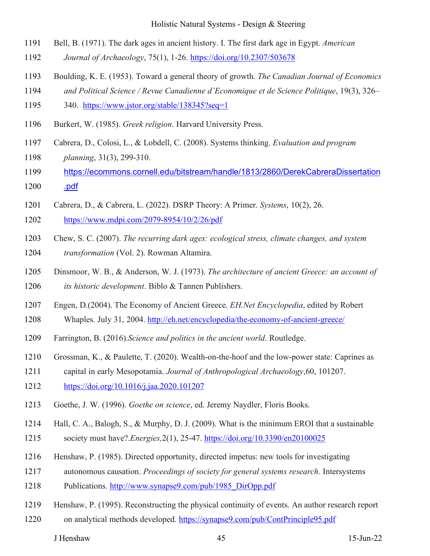- 1191 Bell, B. (1971). The dark ages in ancient history. I. The first dark age in Egypt. *American*
- 1192 *Journal of Archaeology*, 75(1), 1-26. https://doi.org/10.2307/503678
- 1193 Boulding, K. E. (1953). Toward a general theory of growth. *The Canadian Journal of Economics*
- 1194 *and Political Science / Revue Canadienne d'Economique et de Science Politique*, 19(3), 326–
- 1195 340. https://www.jstor.org/stable/138345?seq=1
- 1196 Burkert, W. (1985). *Greek religion*. Harvard University Press.
- 1197 Cabrera, D., Colosi, L., & Lobdell, C. (2008). Systems thinking. *Evaluation and program*  1198 *planning*, 31(3), 299-310.
- 1199 https://ecommons.cornell.edu/bitstream/handle/1813/2860/DerekCabreraDissertation
- 1200 .pdf
- 1201 Cabrera, D., & Cabrera, L. (2022). DSRP Theory: A Primer. *Systems*, 10(2), 26.
- 1202 https://www.mdpi.com/2079-8954/10/2/26/pdf
- 1203 Chew, S. C. (2007). *The recurring dark ages: ecological stress, climate changes, and system*
- 1204 *transformation* (Vol. 2). Rowman Altamira.
- 1205 Dinsmoor, W. B., & Anderson, W. J. (1973). *The architecture of ancient Greece: an account of*  1206 *its historic development*. Biblo & Tannen Publishers.
- 1207 Engen, D.(2004). The Economy of Ancient Greece. *EH.Net Encyclopedia*, edited by Robert
- 1208 Whaples. July 31, 2004. http://eh.net/encyclopedia/the-economy-of-ancient-greece/
- 1209 Farrington, B. (2016).*Science and politics in the ancient world*. Routledge.
- 1210 Grossman, K., & Paulette, T. (2020). Wealth-on-the-hoof and the low-power state: Caprines as
- 1211 capital in early Mesopotamia. *Journal of Anthropological Archaeology*,60, 101207.
- 1212 https://doi.org/10.1016/j.jaa.2020.101207
- 1213 Goethe, J. W. (1996). *Goethe on science*, ed. Jeremy Naydler, Floris Books.
- 1214 Hall, C. A., Balogh, S., & Murphy, D. J. (2009). What is the minimum EROI that a sustainable
- 1215 society must have?.*Energies,*2(1), 25-47. https://doi.org/10.3390/en20100025
- 1216 Henshaw, P. (1985). Directed opportunity, directed impetus: new tools for investigating
- 1217 autonomous causation. *Proceedings of society for general systems research*. Intersystems
- 1218 Publications. http://www.synapse9.com/pub/1985\_DirOpp.pdf
- 1219 Henshaw, P. (1995). Reconstructing the physical continuity of events. An author research report
- 1220 on analytical methods developed. https://synapse9.com/pub/ContPrinciple95.pdf

J Henshaw 45 15-Jun-22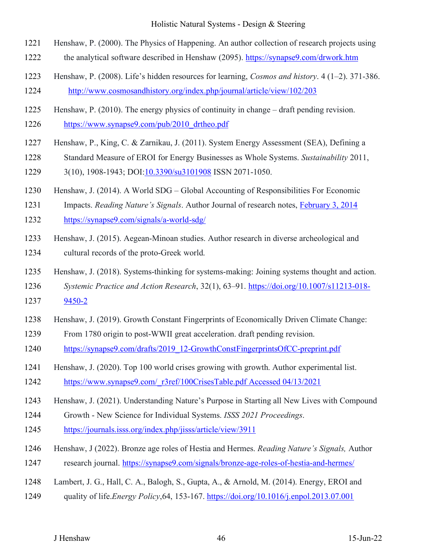- 1221 Henshaw, P. (2000). The Physics of Happening. An author collection of research projects using
- 1222 the analytical software described in Henshaw (2095). https://synapse9.com/drwork.htm
- 1223 Henshaw, P. (2008). Life's hidden resources for learning, *Cosmos and history*. 4 (1–2). 371-386. 1224 http://www.cosmosandhistory.org/index.php/journal/article/view/102/203
- 1225 Henshaw, P. (2010). The energy physics of continuity in change draft pending revision. 1226 https://www.synapse9.com/pub/2010\_drtheo.pdf
- 1227 Henshaw, P., King, C. & Zarnikau, J. (2011). System Energy Assessment (SEA), Defining a
- 1228 Standard Measure of EROI for Energy Businesses as Whole Systems. *Sustainability* 2011,
- 1229 3(10), 1908-1943; DOI:10.3390/su3101908 ISSN 2071-1050.
- 1230 Henshaw, J. (2014). A World SDG Global Accounting of Responsibilities For Economic
- 1231 Impacts. *Reading Nature's Signals*. Author Journal of research notes, February 3, 2014
- 1232 https://synapse9.com/signals/a-world-sdg/
- 1233 Henshaw, J. (2015). Aegean-Minoan studies. Author research in diverse archeological and
- 1234 cultural records of the proto-Greek world.
- 1235 Henshaw, J. (2018). Systems-thinking for systems-making: Joining systems thought and action.
- 1236 *Systemic Practice and Action Research*, 32(1), 63–91. https://doi.org/10.1007/s11213-018-
- 1237 9450-2
- 1238 Henshaw, J. (2019). Growth Constant Fingerprints of Economically Driven Climate Change:
- 1239 From 1780 origin to post-WWII great acceleration. draft pending revision.
- 1240 https://synapse9.com/drafts/2019\_12-GrowthConstFingerprintsOfCC-preprint.pdf
- 1241 Henshaw, J. (2020). Top 100 world crises growing with growth. Author experimental list.
- 1242 https://www.synapse9.com/\_r3ref/100CrisesTable.pdf Accessed 04/13/2021
- 1243 Henshaw, J. (2021). Understanding Nature's Purpose in Starting all New Lives with Compound
- 1244 Growth New Science for Individual Systems. *ISSS 2021 Proceedings*.
- 1245 https://journals.isss.org/index.php/jisss/article/view/3911
- 1246 Henshaw, J (2022). Bronze age roles of Hestia and Hermes. *Reading Nature's Signals,* Author
- 1247 research journal. https://synapse9.com/signals/bronze-age-roles-of-hestia-and-hermes/
- 1248 Lambert, J. G., Hall, C. A., Balogh, S., Gupta, A., & Arnold, M. (2014). Energy, EROI and
- 1249 quality of life.*Energy Policy*,64, 153-167. https://doi.org/10.1016/j.enpol.2013.07.001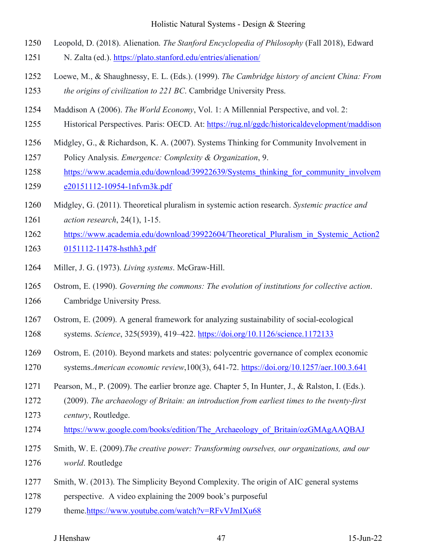- 1250 Leopold, D. (2018). Alienation. *The Stanford Encyclopedia of Philosophy* (Fall 2018), Edward
- 1251 N. Zalta (ed.). https://plato.stanford.edu/entries/alienation/
- 1252 Loewe, M., & Shaughnessy, E. L. (Eds.). (1999). *The Cambridge history of ancient China: From*  1253 *the origins of civilization to 221 BC*. Cambridge University Press.
- 1254 Maddison A (2006). *The World Economy*, Vol. 1: A Millennial Perspective, and vol. 2:
- 1255 Historical Perspectives. Paris: OECD. At: https://rug.nl/ggdc/historicaldevelopment/maddison
- 1256 Midgley, G., & Richardson, K. A. (2007). Systems Thinking for Community Involvement in

1257 Policy Analysis. *Emergence: Complexity & Organization*, 9.

- 1258 https://www.academia.edu/download/39922639/Systems thinking for community involvem
- 1259 e20151112-10954-1nfvm3k.pdf
- 1260 Midgley, G. (2011). Theoretical pluralism in systemic action research. *Systemic practice and*
- 1261 *action research*, 24(1), 1-15.
- 1262 https://www.academia.edu/download/39922604/Theoretical\_Pluralism\_in\_Systemic\_Action2
- 1263 0151112-11478-hsthh3.pdf
- 1264 Miller, J. G. (1973). *Living systems*. McGraw-Hill.
- 1265 Ostrom, E. (1990). *Governing the commons: The evolution of institutions for collective action*.
- 1266 Cambridge University Press.
- 1267 Ostrom, E. (2009). A general framework for analyzing sustainability of social-ecological
- 1268 systems. *Science*, 325(5939), 419–422. https://doi.org/10.1126/science.1172133
- 1269 Ostrom, E. (2010). Beyond markets and states: polycentric governance of complex economic
- 1270 systems.*American economic review*,100(3), 641-72. https://doi.org/10.1257/aer.100.3.641
- 1271 Pearson, M., P. (2009). The earlier bronze age. Chapter 5, In Hunter, J., & Ralston, I. (Eds.).
- 1272 (2009). *The archaeology of Britain: an introduction from earliest times to the twenty-first*
- 1273 *century*, Routledge.
- 1274 https://www.google.com/books/edition/The\_Archaeology\_of\_Britain/ozGMAgAAQBAJ
- 1275 Smith, W. E. (2009).*The creative power: Transforming ourselves, our organizations, and our* 1276 *world*. Routledge
- 1277 Smith, W. (2013). The Simplicity Beyond Complexity. The origin of AIC general systems
- 1278 perspective. A video explaining the 2009 book's purposeful
- 1279 theme.https://www.youtube.com/watch?v=RFvVJmIXu68

#### J Henshaw 47 15-Jun-22